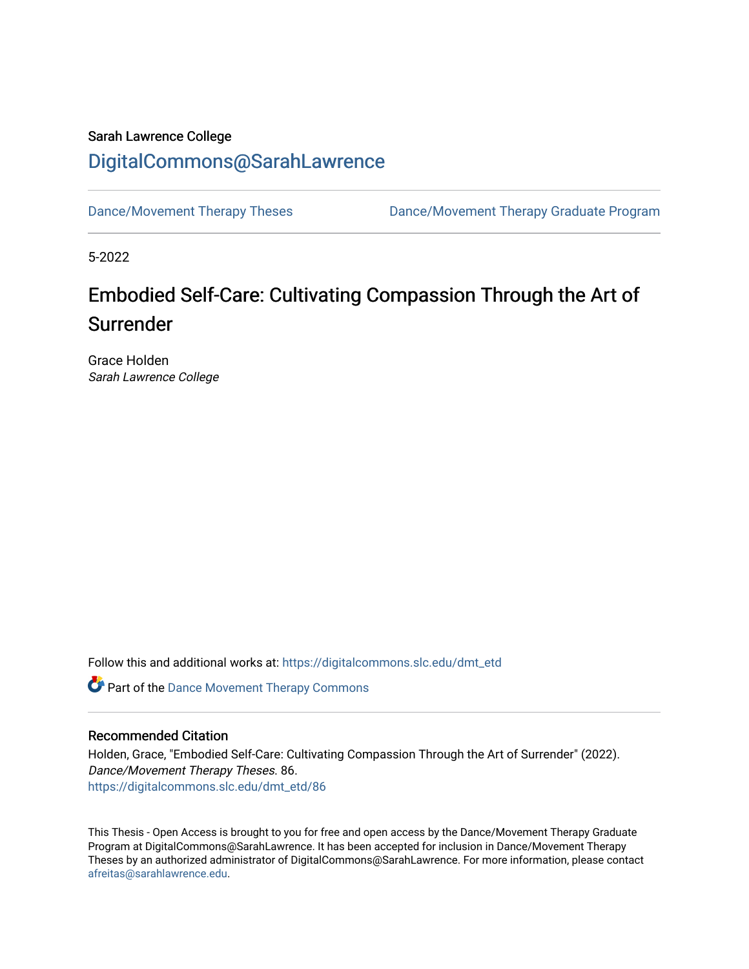# Sarah Lawrence College [DigitalCommons@SarahLawrence](https://digitalcommons.slc.edu/)

[Dance/Movement Therapy Theses](https://digitalcommons.slc.edu/dmt_etd) Dance/Movement Therapy Graduate Program

5-2022

# Embodied Self-Care: Cultivating Compassion Through the Art of Surrender

Grace Holden Sarah Lawrence College

Follow this and additional works at: [https://digitalcommons.slc.edu/dmt\\_etd](https://digitalcommons.slc.edu/dmt_etd?utm_source=digitalcommons.slc.edu%2Fdmt_etd%2F86&utm_medium=PDF&utm_campaign=PDFCoverPages)

**Part of the Dance Movement Therapy Commons** 

## Recommended Citation

Holden, Grace, "Embodied Self-Care: Cultivating Compassion Through the Art of Surrender" (2022). Dance/Movement Therapy Theses. 86. [https://digitalcommons.slc.edu/dmt\\_etd/86](https://digitalcommons.slc.edu/dmt_etd/86?utm_source=digitalcommons.slc.edu%2Fdmt_etd%2F86&utm_medium=PDF&utm_campaign=PDFCoverPages) 

This Thesis - Open Access is brought to you for free and open access by the Dance/Movement Therapy Graduate Program at DigitalCommons@SarahLawrence. It has been accepted for inclusion in Dance/Movement Therapy Theses by an authorized administrator of DigitalCommons@SarahLawrence. For more information, please contact [afreitas@sarahlawrence.edu.](mailto:afreitas@sarahlawrence.edu)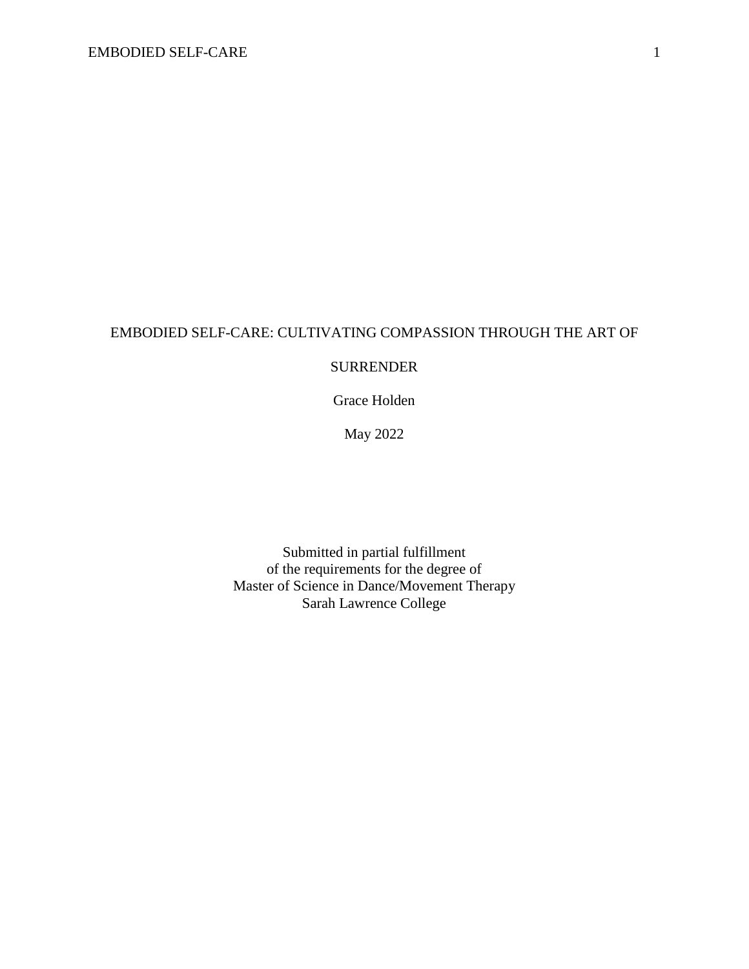# EMBODIED SELF-CARE: CULTIVATING COMPASSION THROUGH THE ART OF

## SURRENDER

Grace Holden

May 2022

Submitted in partial fulfillment of the requirements for the degree of Master of Science in Dance/Movement Therapy Sarah Lawrence College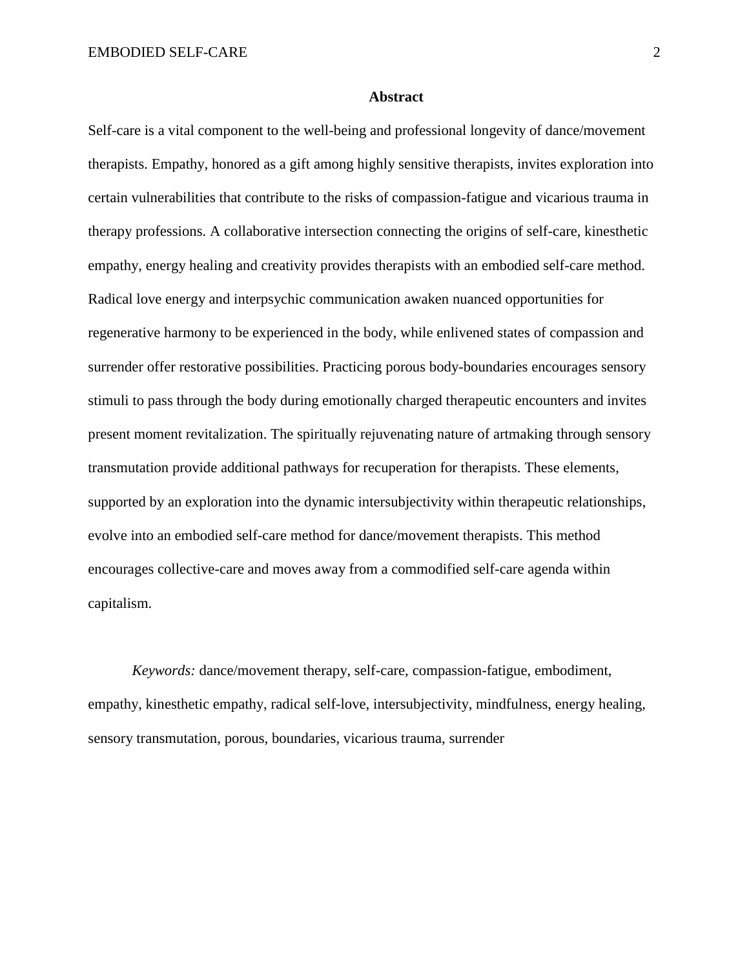#### **Abstract**

Self-care is a vital component to the well-being and professional longevity of dance/movement therapists. Empathy, honored as a gift among highly sensitive therapists, invites exploration into certain vulnerabilities that contribute to the risks of compassion-fatigue and vicarious trauma in therapy professions. A collaborative intersection connecting the origins of self-care, kinesthetic empathy, energy healing and creativity provides therapists with an embodied self-care method. Radical love energy and interpsychic communication awaken nuanced opportunities for regenerative harmony to be experienced in the body, while enlivened states of compassion and surrender offer restorative possibilities. Practicing porous body-boundaries encourages sensory stimuli to pass through the body during emotionally charged therapeutic encounters and invites present moment revitalization. The spiritually rejuvenating nature of artmaking through sensory transmutation provide additional pathways for recuperation for therapists. These elements, supported by an exploration into the dynamic intersubjectivity within therapeutic relationships, evolve into an embodied self-care method for dance/movement therapists. This method encourages collective-care and moves away from a commodified self-care agenda within capitalism.

*Keywords:* dance/movement therapy, self-care, compassion-fatigue, embodiment, empathy, kinesthetic empathy, radical self-love, intersubjectivity, mindfulness, energy healing, sensory transmutation, porous, boundaries, vicarious trauma, surrender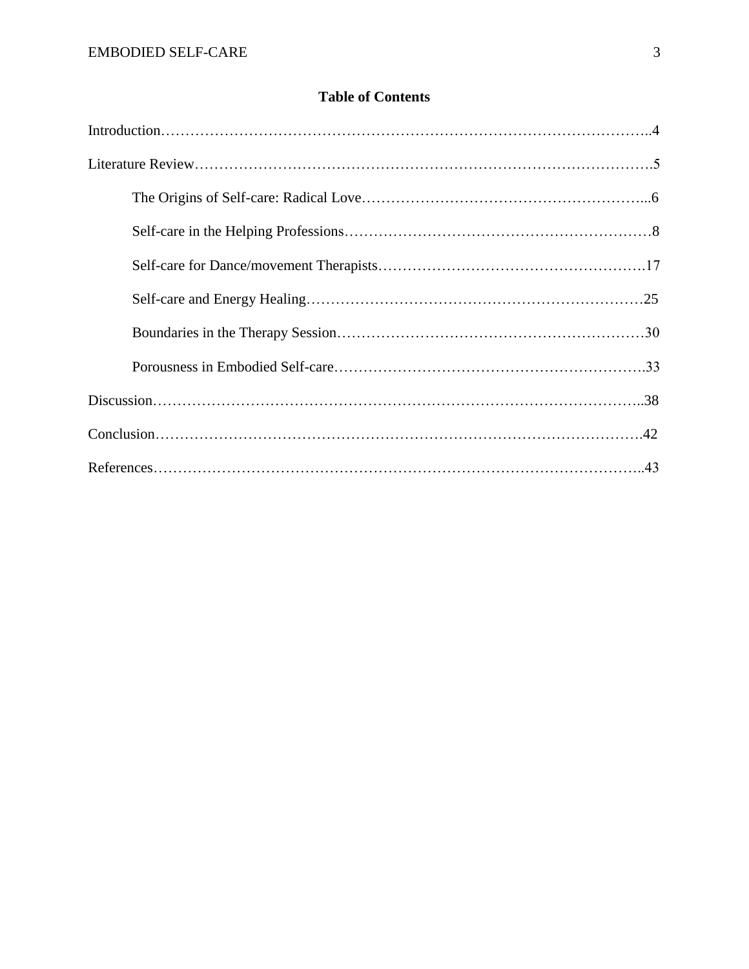## **Table of Contents**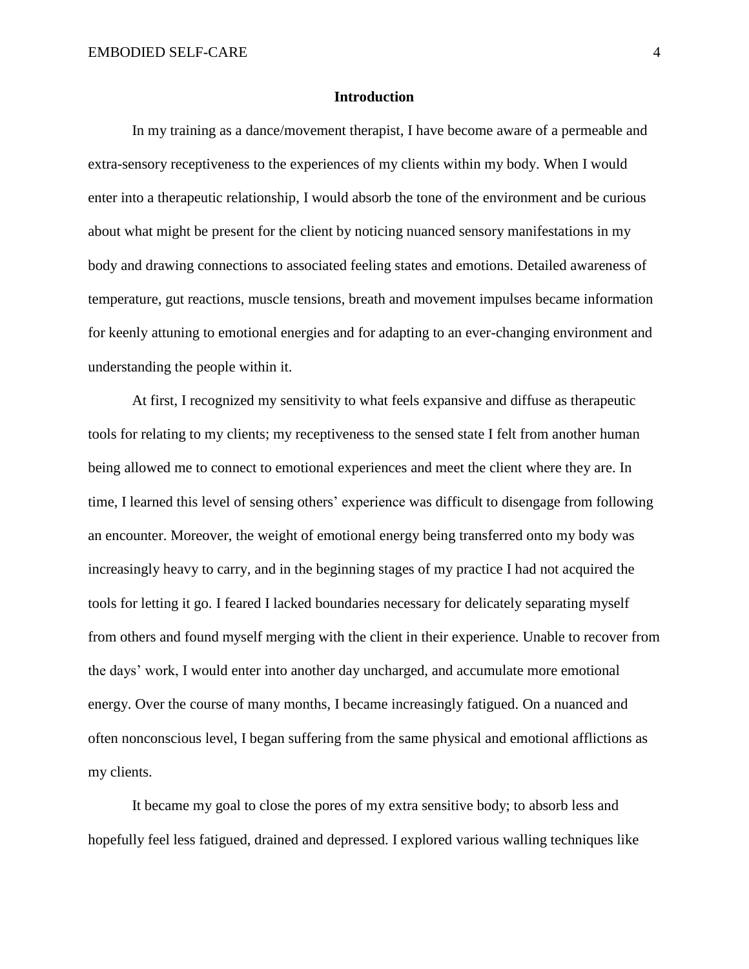#### **Introduction**

In my training as a dance/movement therapist, I have become aware of a permeable and extra-sensory receptiveness to the experiences of my clients within my body. When I would enter into a therapeutic relationship, I would absorb the tone of the environment and be curious about what might be present for the client by noticing nuanced sensory manifestations in my body and drawing connections to associated feeling states and emotions. Detailed awareness of temperature, gut reactions, muscle tensions, breath and movement impulses became information for keenly attuning to emotional energies and for adapting to an ever-changing environment and understanding the people within it.

At first, I recognized my sensitivity to what feels expansive and diffuse as therapeutic tools for relating to my clients; my receptiveness to the sensed state I felt from another human being allowed me to connect to emotional experiences and meet the client where they are. In time, I learned this level of sensing others' experience was difficult to disengage from following an encounter. Moreover, the weight of emotional energy being transferred onto my body was increasingly heavy to carry, and in the beginning stages of my practice I had not acquired the tools for letting it go. I feared I lacked boundaries necessary for delicately separating myself from others and found myself merging with the client in their experience. Unable to recover from the days' work, I would enter into another day uncharged, and accumulate more emotional energy. Over the course of many months, I became increasingly fatigued. On a nuanced and often nonconscious level, I began suffering from the same physical and emotional afflictions as my clients.

It became my goal to close the pores of my extra sensitive body; to absorb less and hopefully feel less fatigued, drained and depressed. I explored various walling techniques like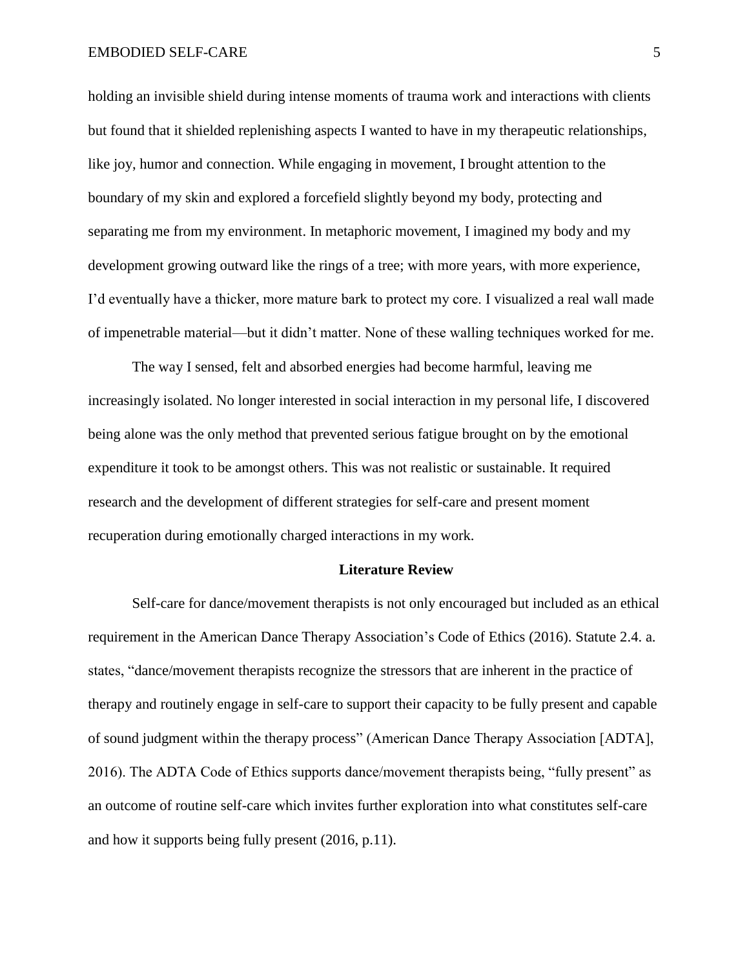holding an invisible shield during intense moments of trauma work and interactions with clients but found that it shielded replenishing aspects I wanted to have in my therapeutic relationships, like joy, humor and connection. While engaging in movement, I brought attention to the boundary of my skin and explored a forcefield slightly beyond my body, protecting and separating me from my environment. In metaphoric movement, I imagined my body and my development growing outward like the rings of a tree; with more years, with more experience, I'd eventually have a thicker, more mature bark to protect my core. I visualized a real wall made of impenetrable material—but it didn't matter. None of these walling techniques worked for me.

The way I sensed, felt and absorbed energies had become harmful, leaving me increasingly isolated. No longer interested in social interaction in my personal life, I discovered being alone was the only method that prevented serious fatigue brought on by the emotional expenditure it took to be amongst others. This was not realistic or sustainable. It required research and the development of different strategies for self-care and present moment recuperation during emotionally charged interactions in my work.

#### **Literature Review**

Self-care for dance/movement therapists is not only encouraged but included as an ethical requirement in the American Dance Therapy Association's Code of Ethics (2016). Statute 2.4. a. states, "dance/movement therapists recognize the stressors that are inherent in the practice of therapy and routinely engage in self-care to support their capacity to be fully present and capable of sound judgment within the therapy process" (American Dance Therapy Association [ADTA], 2016). The ADTA Code of Ethics supports dance/movement therapists being, "fully present" as an outcome of routine self-care which invites further exploration into what constitutes self-care and how it supports being fully present (2016, p.11).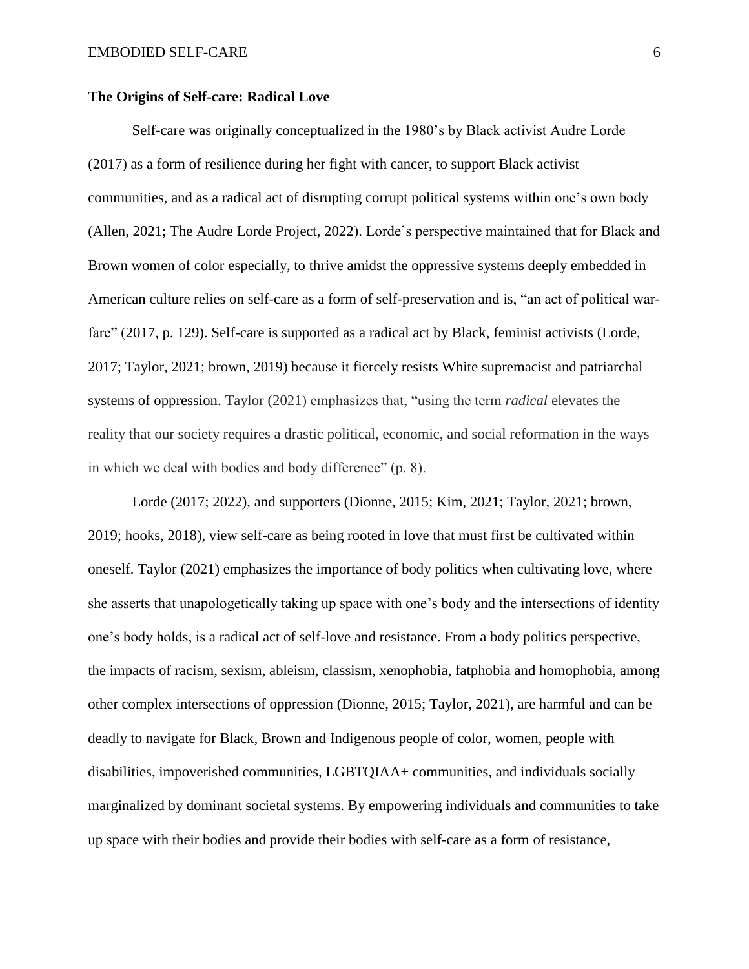#### **The Origins of Self-care: Radical Love**

Self-care was originally conceptualized in the 1980's by Black activist Audre Lorde (2017) as a form of resilience during her fight with cancer, to support Black activist communities, and as a radical act of disrupting corrupt political systems within one's own body (Allen, 2021; The Audre Lorde Project, 2022). Lorde's perspective maintained that for Black and Brown women of color especially, to thrive amidst the oppressive systems deeply embedded in American culture relies on self-care as a form of self-preservation and is, "an act of political warfare" (2017, p. 129). Self-care is supported as a radical act by Black, feminist activists (Lorde, 2017; Taylor, 2021; brown, 2019) because it fiercely resists White supremacist and patriarchal systems of oppression. Taylor (2021) emphasizes that, "using the term *radical* elevates the reality that our society requires a drastic political, economic, and social reformation in the ways in which we deal with bodies and body difference" (p. 8).

Lorde (2017; 2022), and supporters (Dionne, 2015; Kim, 2021; Taylor, 2021; brown, 2019; hooks, 2018), view self-care as being rooted in love that must first be cultivated within oneself. Taylor (2021) emphasizes the importance of body politics when cultivating love, where she asserts that unapologetically taking up space with one's body and the intersections of identity one's body holds, is a radical act of self-love and resistance. From a body politics perspective, the impacts of racism, sexism, ableism, classism, xenophobia, fatphobia and homophobia, among other complex intersections of oppression (Dionne, 2015; Taylor, 2021), are harmful and can be deadly to navigate for Black, Brown and Indigenous people of color, women, people with disabilities, impoverished communities, LGBTQIAA+ communities, and individuals socially marginalized by dominant societal systems. By empowering individuals and communities to take up space with their bodies and provide their bodies with self-care as a form of resistance,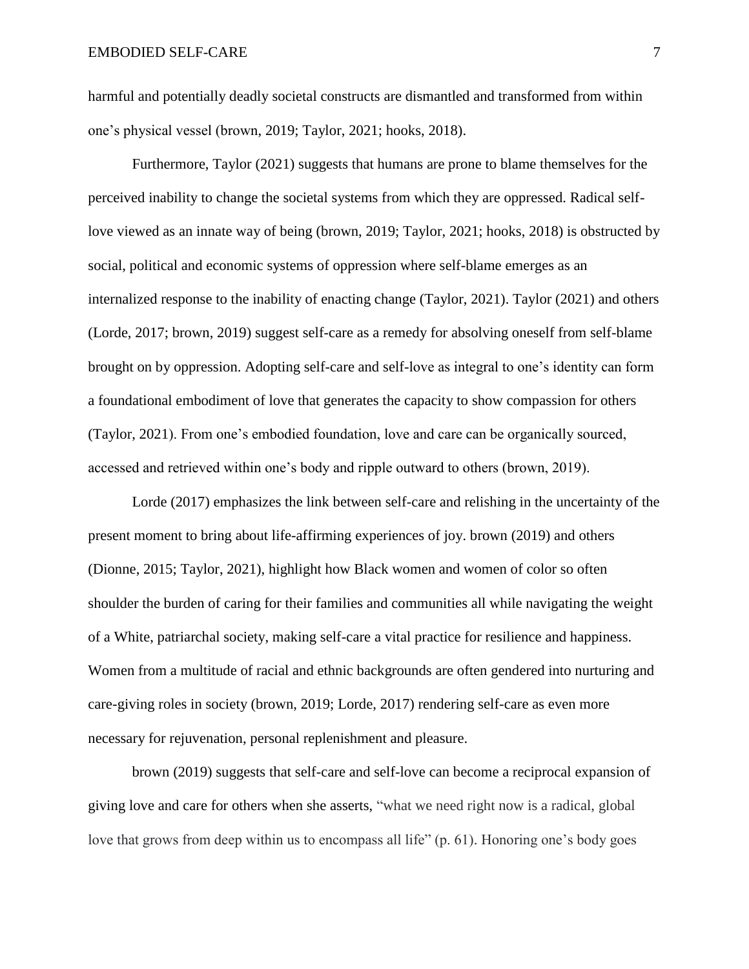harmful and potentially deadly societal constructs are dismantled and transformed from within one's physical vessel (brown, 2019; Taylor, 2021; hooks, 2018).

Furthermore, Taylor (2021) suggests that humans are prone to blame themselves for the perceived inability to change the societal systems from which they are oppressed. Radical selflove viewed as an innate way of being (brown, 2019; Taylor, 2021; hooks, 2018) is obstructed by social, political and economic systems of oppression where self-blame emerges as an internalized response to the inability of enacting change (Taylor, 2021). Taylor (2021) and others (Lorde, 2017; brown, 2019) suggest self-care as a remedy for absolving oneself from self-blame brought on by oppression. Adopting self-care and self-love as integral to one's identity can form a foundational embodiment of love that generates the capacity to show compassion for others (Taylor, 2021). From one's embodied foundation, love and care can be organically sourced, accessed and retrieved within one's body and ripple outward to others (brown, 2019).

Lorde (2017) emphasizes the link between self-care and relishing in the uncertainty of the present moment to bring about life-affirming experiences of joy. brown (2019) and others (Dionne, 2015; Taylor, 2021), highlight how Black women and women of color so often shoulder the burden of caring for their families and communities all while navigating the weight of a White, patriarchal society, making self-care a vital practice for resilience and happiness. Women from a multitude of racial and ethnic backgrounds are often gendered into nurturing and care-giving roles in society (brown, 2019; Lorde, 2017) rendering self-care as even more necessary for rejuvenation, personal replenishment and pleasure.

brown (2019) suggests that self-care and self-love can become a reciprocal expansion of giving love and care for others when she asserts, "what we need right now is a radical, global love that grows from deep within us to encompass all life" (p. 61). Honoring one's body goes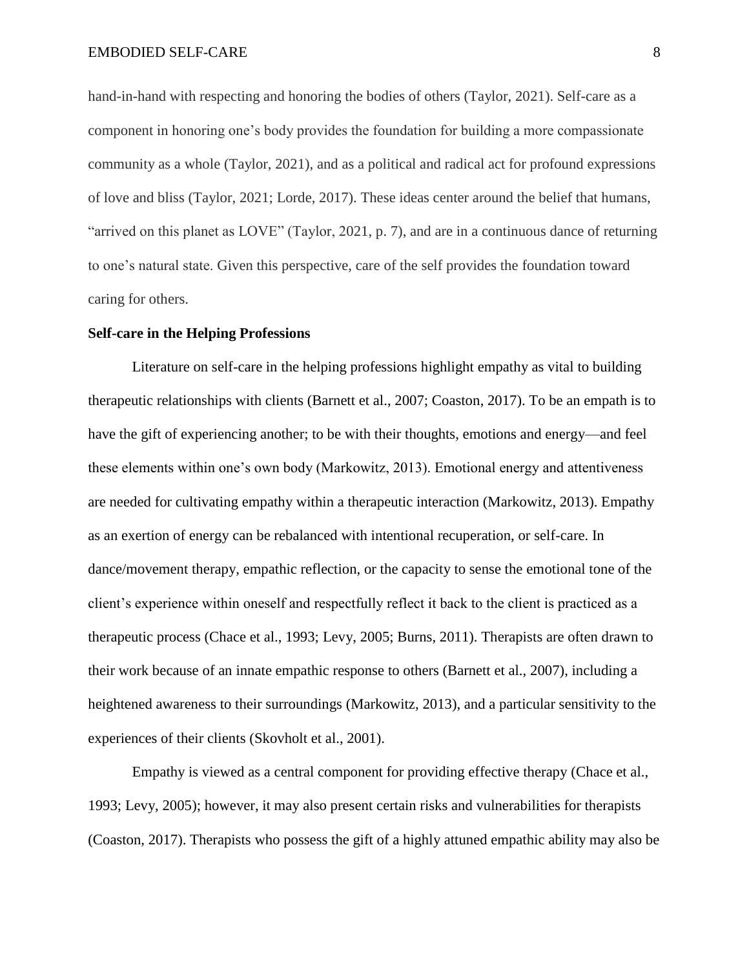hand-in-hand with respecting and honoring the bodies of others (Taylor, 2021). Self-care as a component in honoring one's body provides the foundation for building a more compassionate community as a whole (Taylor, 2021), and as a political and radical act for profound expressions of love and bliss (Taylor, 2021; Lorde, 2017). These ideas center around the belief that humans, "arrived on this planet as LOVE" (Taylor, 2021, p. 7), and are in a continuous dance of returning to one's natural state. Given this perspective, care of the self provides the foundation toward caring for others.

#### **Self-care in the Helping Professions**

Literature on self-care in the helping professions highlight empathy as vital to building therapeutic relationships with clients (Barnett et al., 2007; Coaston, 2017). To be an empath is to have the gift of experiencing another; to be with their thoughts, emotions and energy—and feel these elements within one's own body (Markowitz, 2013). Emotional energy and attentiveness are needed for cultivating empathy within a therapeutic interaction (Markowitz, 2013). Empathy as an exertion of energy can be rebalanced with intentional recuperation, or self-care. In dance/movement therapy, empathic reflection, or the capacity to sense the emotional tone of the client's experience within oneself and respectfully reflect it back to the client is practiced as a therapeutic process (Chace et al., 1993; Levy, 2005; Burns, 2011). Therapists are often drawn to their work because of an innate empathic response to others (Barnett et al., 2007), including a heightened awareness to their surroundings (Markowitz, 2013), and a particular sensitivity to the experiences of their clients (Skovholt et al., 2001).

Empathy is viewed as a central component for providing effective therapy (Chace et al., 1993; Levy, 2005); however, it may also present certain risks and vulnerabilities for therapists (Coaston, 2017). Therapists who possess the gift of a highly attuned empathic ability may also be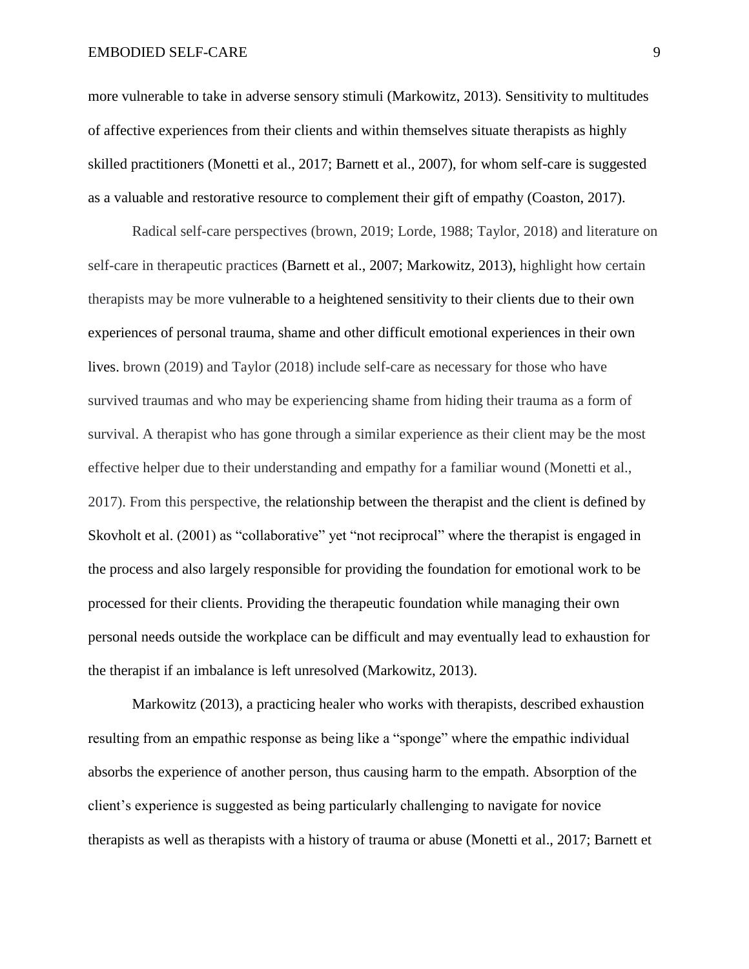more vulnerable to take in adverse sensory stimuli (Markowitz, 2013). Sensitivity to multitudes of affective experiences from their clients and within themselves situate therapists as highly skilled practitioners (Monetti et al., 2017; Barnett et al., 2007), for whom self-care is suggested as a valuable and restorative resource to complement their gift of empathy (Coaston, 2017).

Radical self-care perspectives (brown, 2019; Lorde, 1988; Taylor, 2018) and literature on self-care in therapeutic practices (Barnett et al., 2007; Markowitz, 2013), highlight how certain therapists may be more vulnerable to a heightened sensitivity to their clients due to their own experiences of personal trauma, shame and other difficult emotional experiences in their own lives. brown (2019) and Taylor (2018) include self-care as necessary for those who have survived traumas and who may be experiencing shame from hiding their trauma as a form of survival. A therapist who has gone through a similar experience as their client may be the most effective helper due to their understanding and empathy for a familiar wound (Monetti et al., 2017). From this perspective, the relationship between the therapist and the client is defined by Skovholt et al. (2001) as "collaborative" yet "not reciprocal" where the therapist is engaged in the process and also largely responsible for providing the foundation for emotional work to be processed for their clients. Providing the therapeutic foundation while managing their own personal needs outside the workplace can be difficult and may eventually lead to exhaustion for the therapist if an imbalance is left unresolved (Markowitz, 2013).

Markowitz (2013), a practicing healer who works with therapists, described exhaustion resulting from an empathic response as being like a "sponge" where the empathic individual absorbs the experience of another person, thus causing harm to the empath. Absorption of the client's experience is suggested as being particularly challenging to navigate for novice therapists as well as therapists with a history of trauma or abuse (Monetti et al., 2017; Barnett et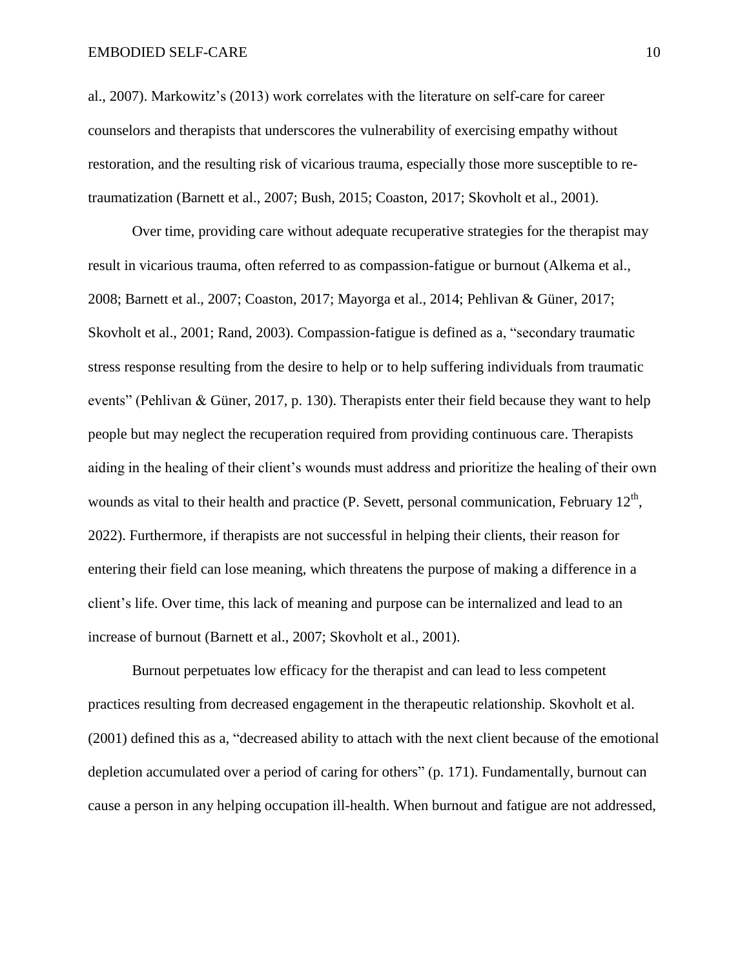al., 2007). Markowitz's (2013) work correlates with the literature on self-care for career counselors and therapists that underscores the vulnerability of exercising empathy without restoration, and the resulting risk of vicarious trauma, especially those more susceptible to retraumatization (Barnett et al., 2007; Bush, 2015; Coaston, 2017; Skovholt et al., 2001).

Over time, providing care without adequate recuperative strategies for the therapist may result in vicarious trauma, often referred to as compassion-fatigue or burnout (Alkema et al., 2008; Barnett et al., 2007; Coaston, 2017; Mayorga et al., 2014; Pehlivan & Güner, 2017; Skovholt et al., 2001; Rand, 2003). Compassion-fatigue is defined as a, "secondary traumatic stress response resulting from the desire to help or to help suffering individuals from traumatic events" (Pehlivan & Güner, 2017, p. 130). Therapists enter their field because they want to help people but may neglect the recuperation required from providing continuous care. Therapists aiding in the healing of their client's wounds must address and prioritize the healing of their own wounds as vital to their health and practice (P. Sevett, personal communication, February  $12<sup>th</sup>$ , 2022). Furthermore, if therapists are not successful in helping their clients, their reason for entering their field can lose meaning, which threatens the purpose of making a difference in a client's life. Over time, this lack of meaning and purpose can be internalized and lead to an increase of burnout (Barnett et al., 2007; Skovholt et al., 2001).

Burnout perpetuates low efficacy for the therapist and can lead to less competent practices resulting from decreased engagement in the therapeutic relationship. Skovholt et al. (2001) defined this as a, "decreased ability to attach with the next client because of the emotional depletion accumulated over a period of caring for others" (p. 171). Fundamentally, burnout can cause a person in any helping occupation ill-health. When burnout and fatigue are not addressed,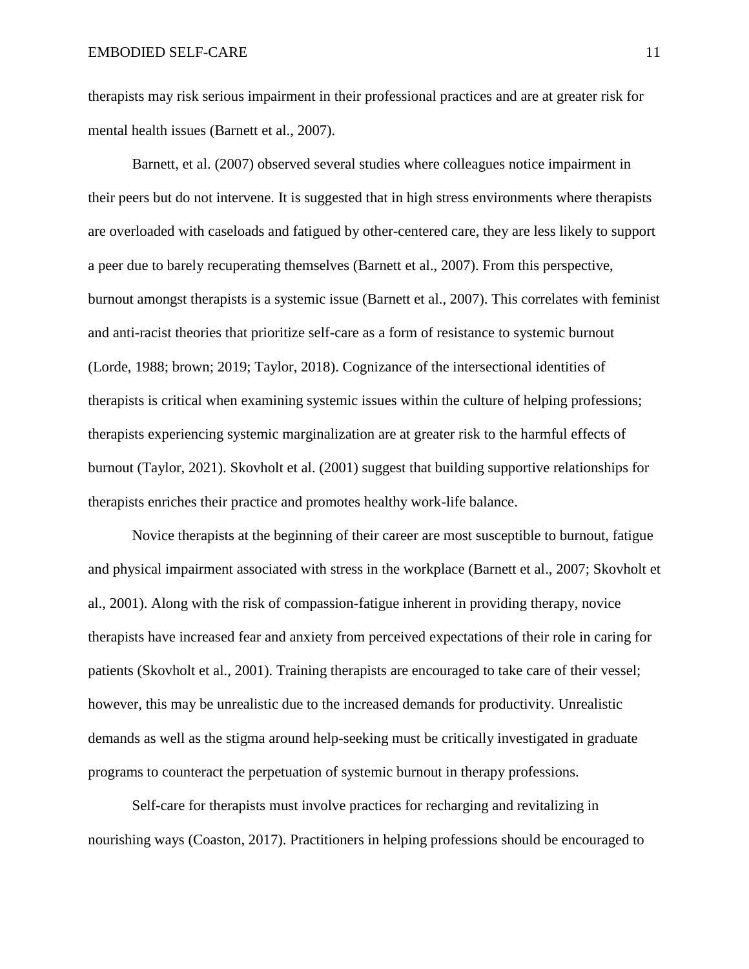therapists may risk serious impairment in their professional practices and are at greater risk for mental health issues (Barnett et al., 2007).

Barnett, et al. (2007) observed several studies where colleagues notice impairment in their peers but do not intervene. It is suggested that in high stress environments where therapists are overloaded with caseloads and fatigued by other-centered care, they are less likely to support a peer due to barely recuperating themselves (Barnett et al., 2007). From this perspective, burnout amongst therapists is a systemic issue (Barnett et al., 2007). This correlates with feminist and anti-racist theories that prioritize self-care as a form of resistance to systemic burnout (Lorde, 1988; brown; 2019; Taylor, 2018). Cognizance of the intersectional identities of therapists is critical when examining systemic issues within the culture of helping professions; therapists experiencing systemic marginalization are at greater risk to the harmful effects of burnout (Taylor, 2021). Skovholt et al. (2001) suggest that building supportive relationships for therapists enriches their practice and promotes healthy work-life balance.

Novice therapists at the beginning of their career are most susceptible to burnout, fatigue and physical impairment associated with stress in the workplace (Barnett et al., 2007; Skovholt et al., 2001). Along with the risk of compassion-fatigue inherent in providing therapy, novice therapists have increased fear and anxiety from perceived expectations of their role in caring for patients (Skovholt et al., 2001). Training therapists are encouraged to take care of their vessel; however, this may be unrealistic due to the increased demands for productivity. Unrealistic demands as well as the stigma around help-seeking must be critically investigated in graduate programs to counteract the perpetuation of systemic burnout in therapy professions.

Self-care for therapists must involve practices for recharging and revitalizing in nourishing ways (Coaston, 2017). Practitioners in helping professions should be encouraged to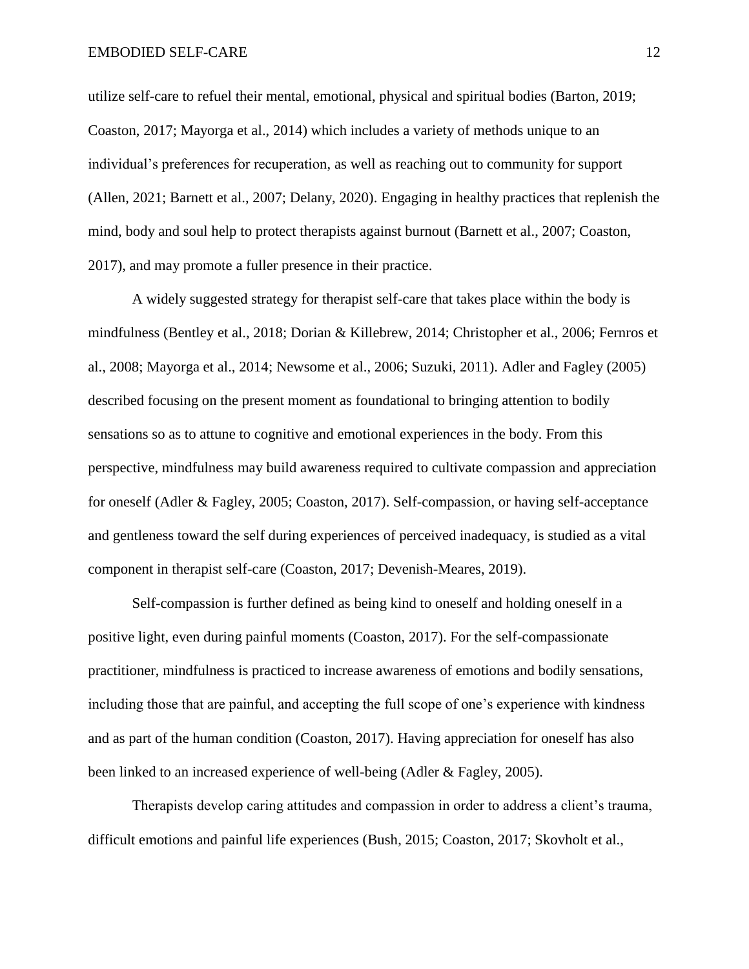utilize self-care to refuel their mental, emotional, physical and spiritual bodies (Barton, 2019; Coaston, 2017; Mayorga et al., 2014) which includes a variety of methods unique to an individual's preferences for recuperation, as well as reaching out to community for support (Allen, 2021; Barnett et al., 2007; Delany, 2020). Engaging in healthy practices that replenish the mind, body and soul help to protect therapists against burnout (Barnett et al., 2007; Coaston, 2017), and may promote a fuller presence in their practice.

A widely suggested strategy for therapist self-care that takes place within the body is mindfulness (Bentley et al., 2018; Dorian & Killebrew, 2014; Christopher et al., 2006; Fernros et al., 2008; Mayorga et al., 2014; Newsome et al., 2006; Suzuki, 2011). Adler and Fagley (2005) described focusing on the present moment as foundational to bringing attention to bodily sensations so as to attune to cognitive and emotional experiences in the body. From this perspective, mindfulness may build awareness required to cultivate compassion and appreciation for oneself (Adler & Fagley, 2005; Coaston, 2017). Self-compassion, or having self-acceptance and gentleness toward the self during experiences of perceived inadequacy, is studied as a vital component in therapist self-care (Coaston, 2017; Devenish-Meares, 2019).

Self-compassion is further defined as being kind to oneself and holding oneself in a positive light, even during painful moments (Coaston, 2017). For the self-compassionate practitioner, mindfulness is practiced to increase awareness of emotions and bodily sensations, including those that are painful, and accepting the full scope of one's experience with kindness and as part of the human condition (Coaston, 2017). Having appreciation for oneself has also been linked to an increased experience of well-being (Adler & Fagley, 2005).

Therapists develop caring attitudes and compassion in order to address a client's trauma, difficult emotions and painful life experiences (Bush, 2015; Coaston, 2017; Skovholt et al.,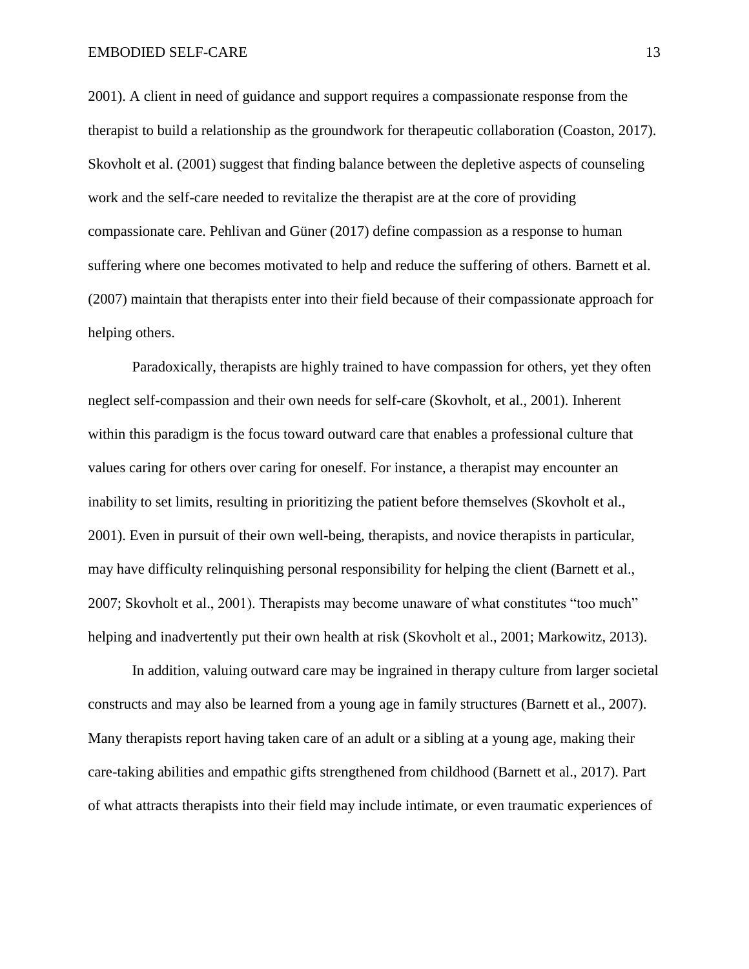2001). A client in need of guidance and support requires a compassionate response from the therapist to build a relationship as the groundwork for therapeutic collaboration (Coaston, 2017). Skovholt et al. (2001) suggest that finding balance between the depletive aspects of counseling work and the self-care needed to revitalize the therapist are at the core of providing compassionate care. Pehlivan and Güner (2017) define compassion as a response to human suffering where one becomes motivated to help and reduce the suffering of others. Barnett et al. (2007) maintain that therapists enter into their field because of their compassionate approach for helping others.

Paradoxically, therapists are highly trained to have compassion for others, yet they often neglect self-compassion and their own needs for self-care (Skovholt, et al., 2001). Inherent within this paradigm is the focus toward outward care that enables a professional culture that values caring for others over caring for oneself. For instance, a therapist may encounter an inability to set limits, resulting in prioritizing the patient before themselves (Skovholt et al., 2001). Even in pursuit of their own well-being, therapists, and novice therapists in particular, may have difficulty relinquishing personal responsibility for helping the client (Barnett et al., 2007; Skovholt et al., 2001). Therapists may become unaware of what constitutes "too much" helping and inadvertently put their own health at risk (Skovholt et al., 2001; Markowitz, 2013).

In addition, valuing outward care may be ingrained in therapy culture from larger societal constructs and may also be learned from a young age in family structures (Barnett et al., 2007). Many therapists report having taken care of an adult or a sibling at a young age, making their care-taking abilities and empathic gifts strengthened from childhood (Barnett et al., 2017). Part of what attracts therapists into their field may include intimate, or even traumatic experiences of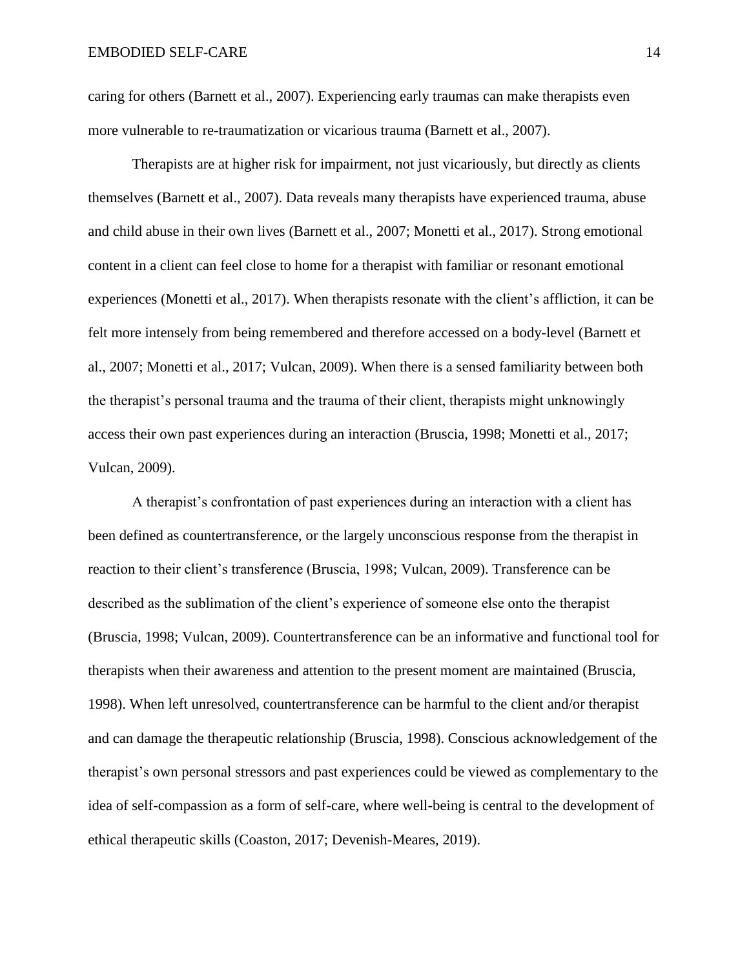caring for others (Barnett et al., 2007). Experiencing early traumas can make therapists even more vulnerable to re-traumatization or vicarious trauma (Barnett et al., 2007).

Therapists are at higher risk for impairment, not just vicariously, but directly as clients themselves (Barnett et al., 2007). Data reveals many therapists have experienced trauma, abuse and child abuse in their own lives (Barnett et al., 2007; Monetti et al., 2017). Strong emotional content in a client can feel close to home for a therapist with familiar or resonant emotional experiences (Monetti et al., 2017). When therapists resonate with the client's affliction, it can be felt more intensely from being remembered and therefore accessed on a body-level (Barnett et al., 2007; Monetti et al., 2017; Vulcan, 2009). When there is a sensed familiarity between both the therapist's personal trauma and the trauma of their client, therapists might unknowingly access their own past experiences during an interaction (Bruscia, 1998; Monetti et al., 2017; Vulcan, 2009).

A therapist's confrontation of past experiences during an interaction with a client has been defined as countertransference, or the largely unconscious response from the therapist in reaction to their client's transference (Bruscia, 1998; Vulcan, 2009). Transference can be described as the sublimation of the client's experience of someone else onto the therapist (Bruscia, 1998; Vulcan, 2009). Countertransference can be an informative and functional tool for therapists when their awareness and attention to the present moment are maintained (Bruscia, 1998). When left unresolved, countertransference can be harmful to the client and/or therapist and can damage the therapeutic relationship (Bruscia, 1998). Conscious acknowledgement of the therapist's own personal stressors and past experiences could be viewed as complementary to the idea of self-compassion as a form of self-care, where well-being is central to the development of ethical therapeutic skills (Coaston, 2017; Devenish-Meares, 2019).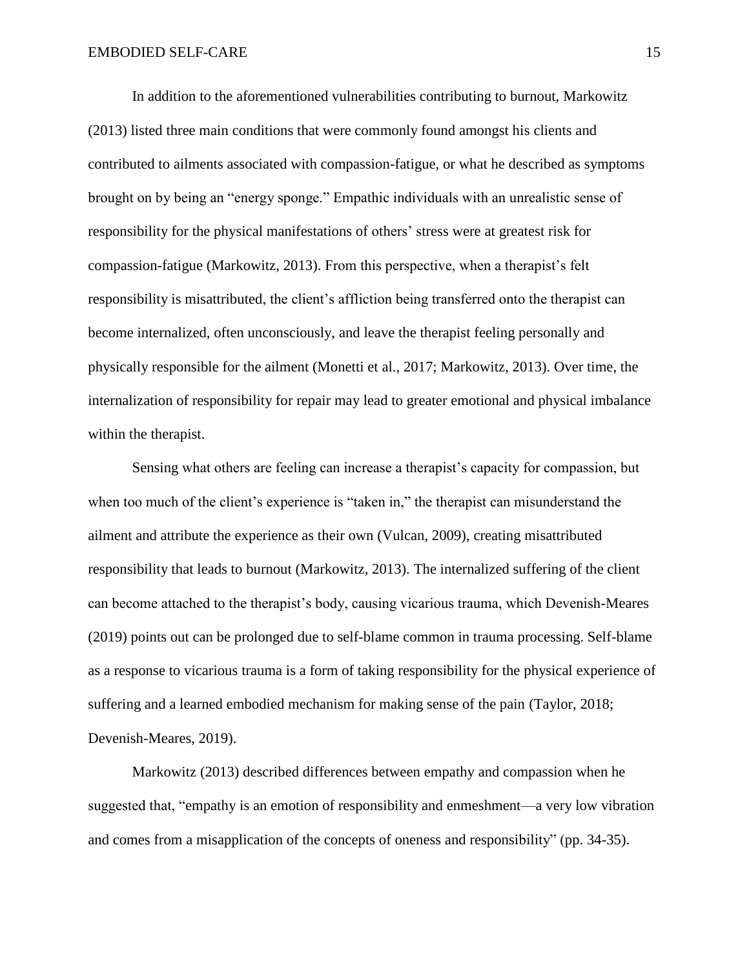In addition to the aforementioned vulnerabilities contributing to burnout, Markowitz (2013) listed three main conditions that were commonly found amongst his clients and contributed to ailments associated with compassion-fatigue, or what he described as symptoms brought on by being an "energy sponge." Empathic individuals with an unrealistic sense of responsibility for the physical manifestations of others' stress were at greatest risk for compassion-fatigue (Markowitz, 2013). From this perspective, when a therapist's felt responsibility is misattributed, the client's affliction being transferred onto the therapist can become internalized, often unconsciously, and leave the therapist feeling personally and physically responsible for the ailment (Monetti et al., 2017; Markowitz, 2013). Over time, the internalization of responsibility for repair may lead to greater emotional and physical imbalance within the therapist.

Sensing what others are feeling can increase a therapist's capacity for compassion, but when too much of the client's experience is "taken in," the therapist can misunderstand the ailment and attribute the experience as their own (Vulcan, 2009), creating misattributed responsibility that leads to burnout (Markowitz, 2013). The internalized suffering of the client can become attached to the therapist's body, causing vicarious trauma, which Devenish-Meares (2019) points out can be prolonged due to self-blame common in trauma processing. Self-blame as a response to vicarious trauma is a form of taking responsibility for the physical experience of suffering and a learned embodied mechanism for making sense of the pain (Taylor, 2018; Devenish-Meares, 2019).

Markowitz (2013) described differences between empathy and compassion when he suggested that, "empathy is an emotion of responsibility and enmeshment—a very low vibration and comes from a misapplication of the concepts of oneness and responsibility" (pp. 34-35).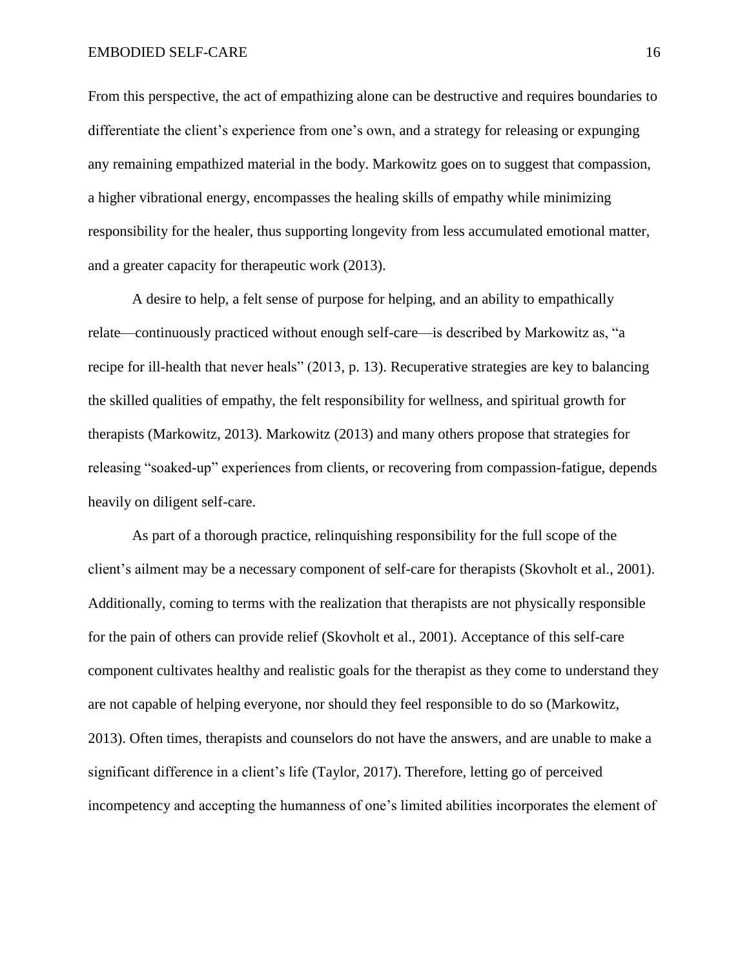From this perspective, the act of empathizing alone can be destructive and requires boundaries to differentiate the client's experience from one's own, and a strategy for releasing or expunging any remaining empathized material in the body. Markowitz goes on to suggest that compassion, a higher vibrational energy, encompasses the healing skills of empathy while minimizing responsibility for the healer, thus supporting longevity from less accumulated emotional matter, and a greater capacity for therapeutic work (2013).

A desire to help, a felt sense of purpose for helping, and an ability to empathically relate—continuously practiced without enough self-care—is described by Markowitz as, "a recipe for ill-health that never heals" (2013, p. 13). Recuperative strategies are key to balancing the skilled qualities of empathy, the felt responsibility for wellness, and spiritual growth for therapists (Markowitz, 2013). Markowitz (2013) and many others propose that strategies for releasing "soaked-up" experiences from clients, or recovering from compassion-fatigue, depends heavily on diligent self-care.

As part of a thorough practice, relinquishing responsibility for the full scope of the client's ailment may be a necessary component of self-care for therapists (Skovholt et al., 2001). Additionally, coming to terms with the realization that therapists are not physically responsible for the pain of others can provide relief (Skovholt et al., 2001). Acceptance of this self-care component cultivates healthy and realistic goals for the therapist as they come to understand they are not capable of helping everyone, nor should they feel responsible to do so (Markowitz, 2013). Often times, therapists and counselors do not have the answers, and are unable to make a significant difference in a client's life (Taylor, 2017). Therefore, letting go of perceived incompetency and accepting the humanness of one's limited abilities incorporates the element of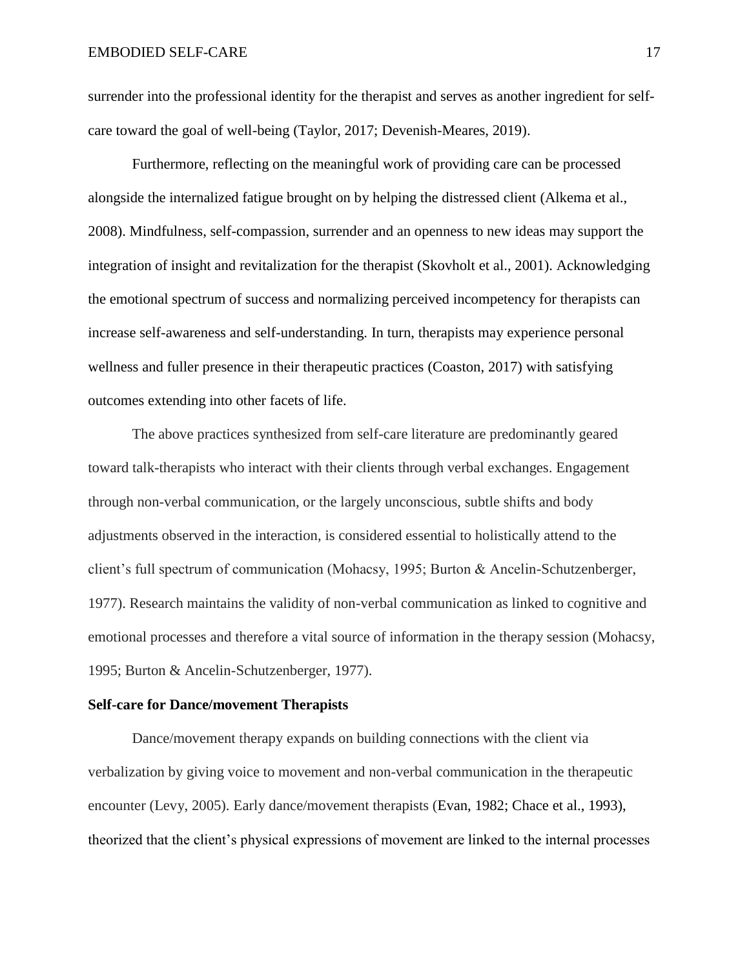surrender into the professional identity for the therapist and serves as another ingredient for selfcare toward the goal of well-being (Taylor, 2017; Devenish-Meares, 2019).

Furthermore, reflecting on the meaningful work of providing care can be processed alongside the internalized fatigue brought on by helping the distressed client (Alkema et al., 2008). Mindfulness, self-compassion, surrender and an openness to new ideas may support the integration of insight and revitalization for the therapist (Skovholt et al., 2001). Acknowledging the emotional spectrum of success and normalizing perceived incompetency for therapists can increase self-awareness and self-understanding. In turn, therapists may experience personal wellness and fuller presence in their therapeutic practices (Coaston, 2017) with satisfying outcomes extending into other facets of life.

The above practices synthesized from self-care literature are predominantly geared toward talk-therapists who interact with their clients through verbal exchanges. Engagement through non-verbal communication, or the largely unconscious, subtle shifts and body adjustments observed in the interaction, is considered essential to holistically attend to the client's full spectrum of communication (Mohacsy, 1995; Burton & Ancelin-Schutzenberger, 1977). Research maintains the validity of non-verbal communication as linked to cognitive and emotional processes and therefore a vital source of information in the therapy session (Mohacsy, 1995; Burton & Ancelin-Schutzenberger, 1977).

#### **Self-care for Dance/movement Therapists**

Dance/movement therapy expands on building connections with the client via verbalization by giving voice to movement and non-verbal communication in the therapeutic encounter (Levy, 2005). Early dance/movement therapists (Evan, 1982; Chace et al., 1993), theorized that the client's physical expressions of movement are linked to the internal processes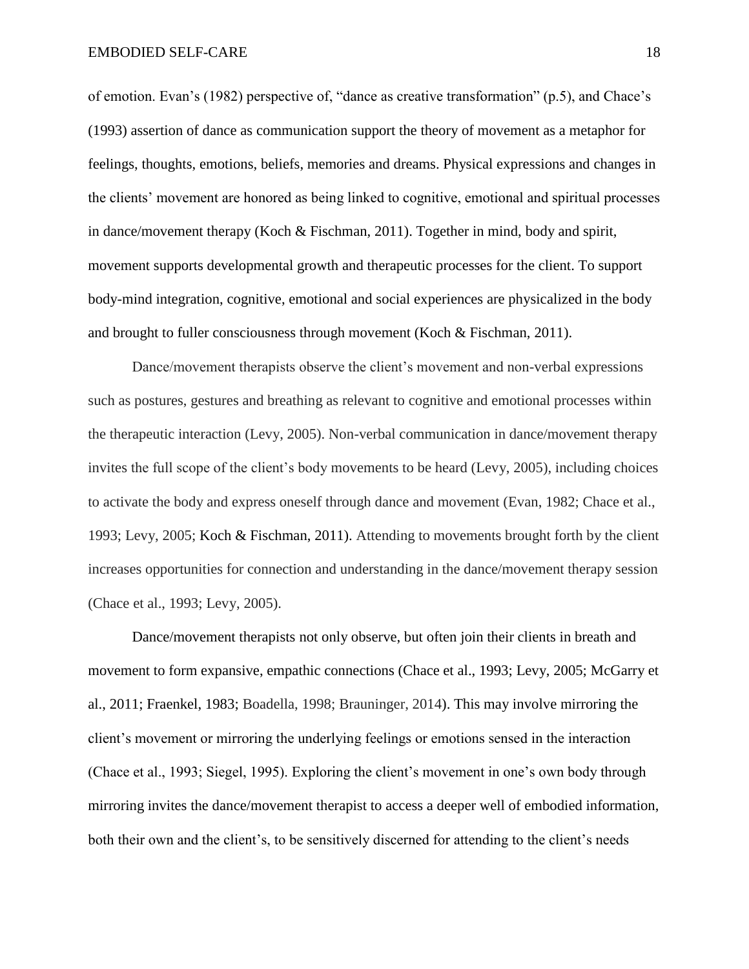of emotion. Evan's (1982) perspective of, "dance as creative transformation" (p.5), and Chace's (1993) assertion of dance as communication support the theory of movement as a metaphor for feelings, thoughts, emotions, beliefs, memories and dreams. Physical expressions and changes in the clients' movement are honored as being linked to cognitive, emotional and spiritual processes in dance/movement therapy (Koch & Fischman, 2011). Together in mind, body and spirit, movement supports developmental growth and therapeutic processes for the client. To support body-mind integration, cognitive, emotional and social experiences are physicalized in the body and brought to fuller consciousness through movement (Koch & Fischman, 2011).

Dance/movement therapists observe the client's movement and non-verbal expressions such as postures, gestures and breathing as relevant to cognitive and emotional processes within the therapeutic interaction (Levy, 2005). Non-verbal communication in dance/movement therapy invites the full scope of the client's body movements to be heard (Levy, 2005), including choices to activate the body and express oneself through dance and movement (Evan, 1982; Chace et al., 1993; Levy, 2005; Koch & Fischman, 2011). Attending to movements brought forth by the client increases opportunities for connection and understanding in the dance/movement therapy session (Chace et al., 1993; Levy, 2005).

Dance/movement therapists not only observe, but often join their clients in breath and movement to form expansive, empathic connections (Chace et al., 1993; Levy, 2005; McGarry et al., 2011; Fraenkel, 1983; Boadella, 1998; Brauninger, 2014). This may involve mirroring the client's movement or mirroring the underlying feelings or emotions sensed in the interaction (Chace et al., 1993; Siegel, 1995). Exploring the client's movement in one's own body through mirroring invites the dance/movement therapist to access a deeper well of embodied information, both their own and the client's, to be sensitively discerned for attending to the client's needs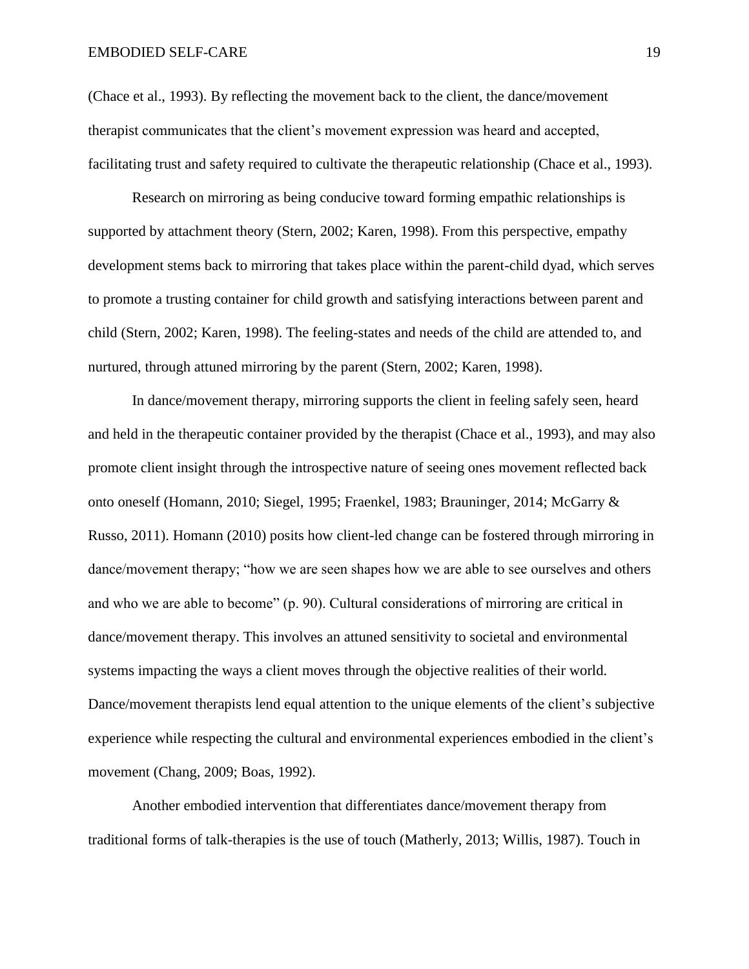(Chace et al., 1993). By reflecting the movement back to the client, the dance/movement therapist communicates that the client's movement expression was heard and accepted, facilitating trust and safety required to cultivate the therapeutic relationship (Chace et al., 1993).

Research on mirroring as being conducive toward forming empathic relationships is supported by attachment theory (Stern, 2002; Karen, 1998). From this perspective, empathy development stems back to mirroring that takes place within the parent-child dyad, which serves to promote a trusting container for child growth and satisfying interactions between parent and child (Stern, 2002; Karen, 1998). The feeling-states and needs of the child are attended to, and nurtured, through attuned mirroring by the parent (Stern, 2002; Karen, 1998).

In dance/movement therapy, mirroring supports the client in feeling safely seen, heard and held in the therapeutic container provided by the therapist (Chace et al., 1993), and may also promote client insight through the introspective nature of seeing ones movement reflected back onto oneself (Homann, 2010; Siegel, 1995; Fraenkel, 1983; Brauninger, 2014; McGarry & Russo, 2011). Homann (2010) posits how client-led change can be fostered through mirroring in dance/movement therapy; "how we are seen shapes how we are able to see ourselves and others and who we are able to become" (p. 90). Cultural considerations of mirroring are critical in dance/movement therapy. This involves an attuned sensitivity to societal and environmental systems impacting the ways a client moves through the objective realities of their world. Dance/movement therapists lend equal attention to the unique elements of the client's subjective experience while respecting the cultural and environmental experiences embodied in the client's movement (Chang, 2009; Boas, 1992).

Another embodied intervention that differentiates dance/movement therapy from traditional forms of talk-therapies is the use of touch (Matherly, 2013; Willis, 1987). Touch in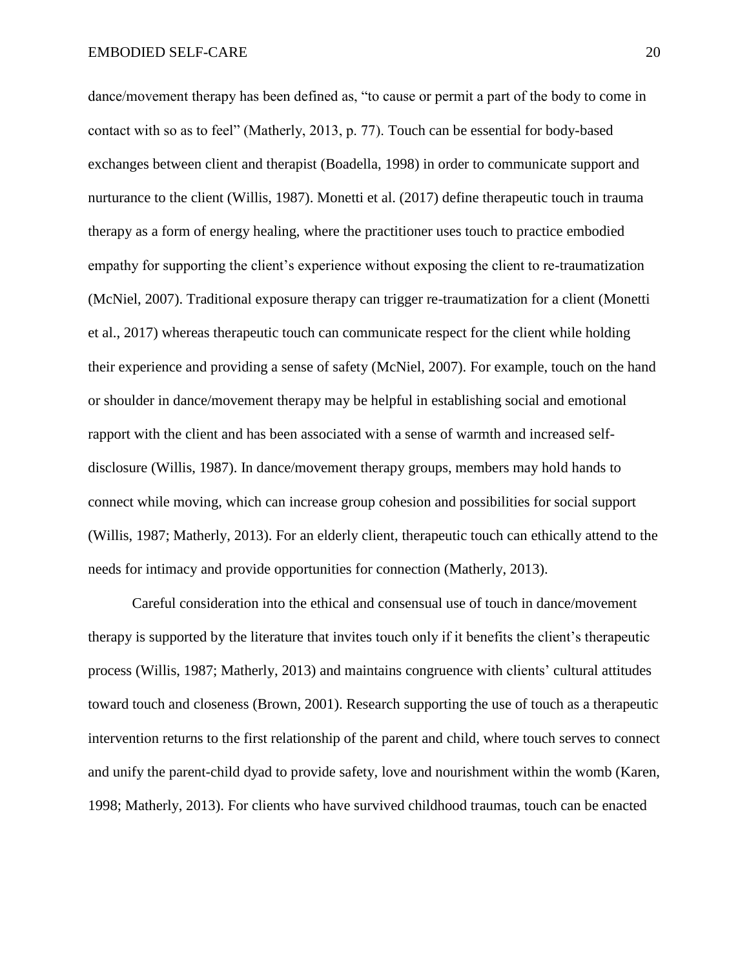dance/movement therapy has been defined as, "to cause or permit a part of the body to come in contact with so as to feel" (Matherly, 2013, p. 77). Touch can be essential for body-based exchanges between client and therapist (Boadella, 1998) in order to communicate support and nurturance to the client (Willis, 1987). Monetti et al. (2017) define therapeutic touch in trauma therapy as a form of energy healing, where the practitioner uses touch to practice embodied empathy for supporting the client's experience without exposing the client to re-traumatization (McNiel, 2007). Traditional exposure therapy can trigger re-traumatization for a client (Monetti et al., 2017) whereas therapeutic touch can communicate respect for the client while holding their experience and providing a sense of safety (McNiel, 2007). For example, touch on the hand or shoulder in dance/movement therapy may be helpful in establishing social and emotional rapport with the client and has been associated with a sense of warmth and increased selfdisclosure (Willis, 1987). In dance/movement therapy groups, members may hold hands to connect while moving, which can increase group cohesion and possibilities for social support (Willis, 1987; Matherly, 2013). For an elderly client, therapeutic touch can ethically attend to the needs for intimacy and provide opportunities for connection (Matherly, 2013).

Careful consideration into the ethical and consensual use of touch in dance/movement therapy is supported by the literature that invites touch only if it benefits the client's therapeutic process (Willis, 1987; Matherly, 2013) and maintains congruence with clients' cultural attitudes toward touch and closeness (Brown, 2001). Research supporting the use of touch as a therapeutic intervention returns to the first relationship of the parent and child, where touch serves to connect and unify the parent-child dyad to provide safety, love and nourishment within the womb (Karen, 1998; Matherly, 2013). For clients who have survived childhood traumas, touch can be enacted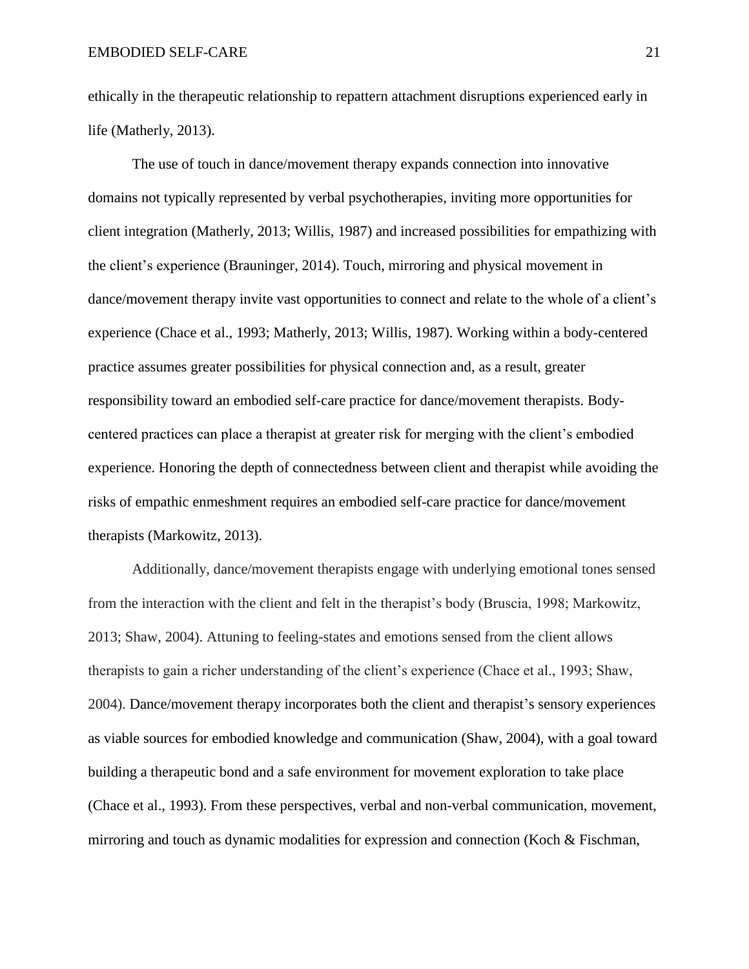ethically in the therapeutic relationship to repattern attachment disruptions experienced early in life (Matherly, 2013).

The use of touch in dance/movement therapy expands connection into innovative domains not typically represented by verbal psychotherapies, inviting more opportunities for client integration (Matherly, 2013; Willis, 1987) and increased possibilities for empathizing with the client's experience (Brauninger, 2014). Touch, mirroring and physical movement in dance/movement therapy invite vast opportunities to connect and relate to the whole of a client's experience (Chace et al., 1993; Matherly, 2013; Willis, 1987). Working within a body-centered practice assumes greater possibilities for physical connection and, as a result, greater responsibility toward an embodied self-care practice for dance/movement therapists. Bodycentered practices can place a therapist at greater risk for merging with the client's embodied experience. Honoring the depth of connectedness between client and therapist while avoiding the risks of empathic enmeshment requires an embodied self-care practice for dance/movement therapists (Markowitz, 2013).

Additionally, dance/movement therapists engage with underlying emotional tones sensed from the interaction with the client and felt in the therapist's body (Bruscia, 1998; Markowitz, 2013; Shaw, 2004). Attuning to feeling-states and emotions sensed from the client allows therapists to gain a richer understanding of the client's experience (Chace et al., 1993; Shaw, 2004). Dance/movement therapy incorporates both the client and therapist's sensory experiences as viable sources for embodied knowledge and communication (Shaw, 2004), with a goal toward building a therapeutic bond and a safe environment for movement exploration to take place (Chace et al., 1993). From these perspectives, verbal and non-verbal communication, movement, mirroring and touch as dynamic modalities for expression and connection (Koch & Fischman,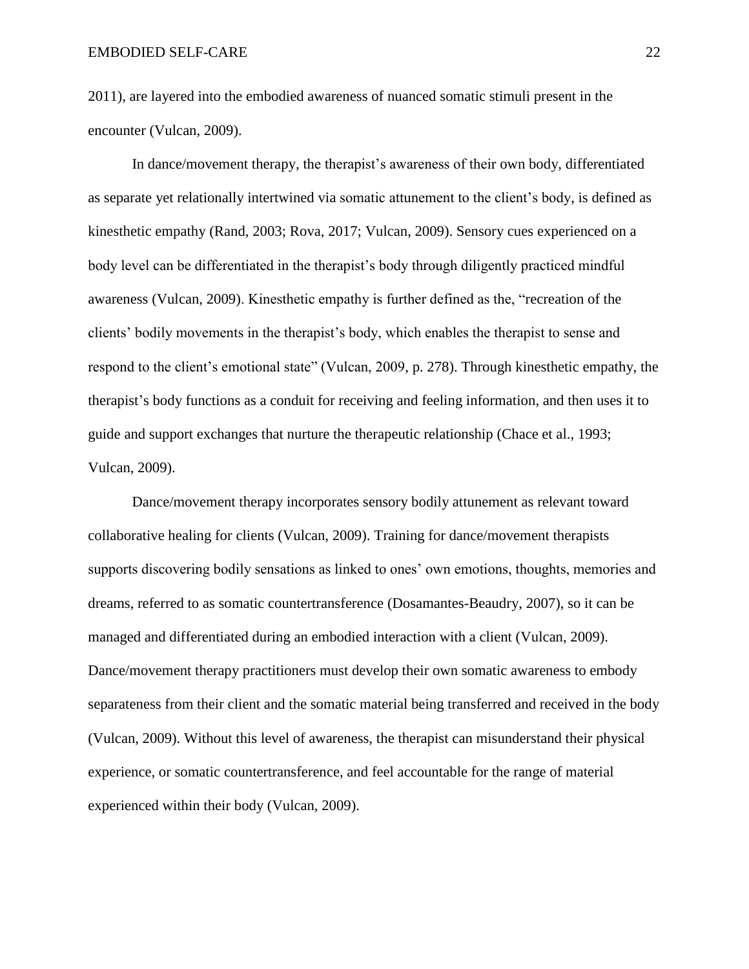2011), are layered into the embodied awareness of nuanced somatic stimuli present in the encounter (Vulcan, 2009).

In dance/movement therapy, the therapist's awareness of their own body, differentiated as separate yet relationally intertwined via somatic attunement to the client's body, is defined as kinesthetic empathy (Rand, 2003; Rova, 2017; Vulcan, 2009). Sensory cues experienced on a body level can be differentiated in the therapist's body through diligently practiced mindful awareness (Vulcan, 2009). Kinesthetic empathy is further defined as the, "recreation of the clients' bodily movements in the therapist's body, which enables the therapist to sense and respond to the client's emotional state" (Vulcan, 2009, p. 278). Through kinesthetic empathy, the therapist's body functions as a conduit for receiving and feeling information, and then uses it to guide and support exchanges that nurture the therapeutic relationship (Chace et al., 1993; Vulcan, 2009).

Dance/movement therapy incorporates sensory bodily attunement as relevant toward collaborative healing for clients (Vulcan, 2009). Training for dance/movement therapists supports discovering bodily sensations as linked to ones' own emotions, thoughts, memories and dreams, referred to as somatic countertransference (Dosamantes-Beaudry, 2007), so it can be managed and differentiated during an embodied interaction with a client (Vulcan, 2009). Dance/movement therapy practitioners must develop their own somatic awareness to embody separateness from their client and the somatic material being transferred and received in the body (Vulcan, 2009). Without this level of awareness, the therapist can misunderstand their physical experience, or somatic countertransference, and feel accountable for the range of material experienced within their body (Vulcan, 2009).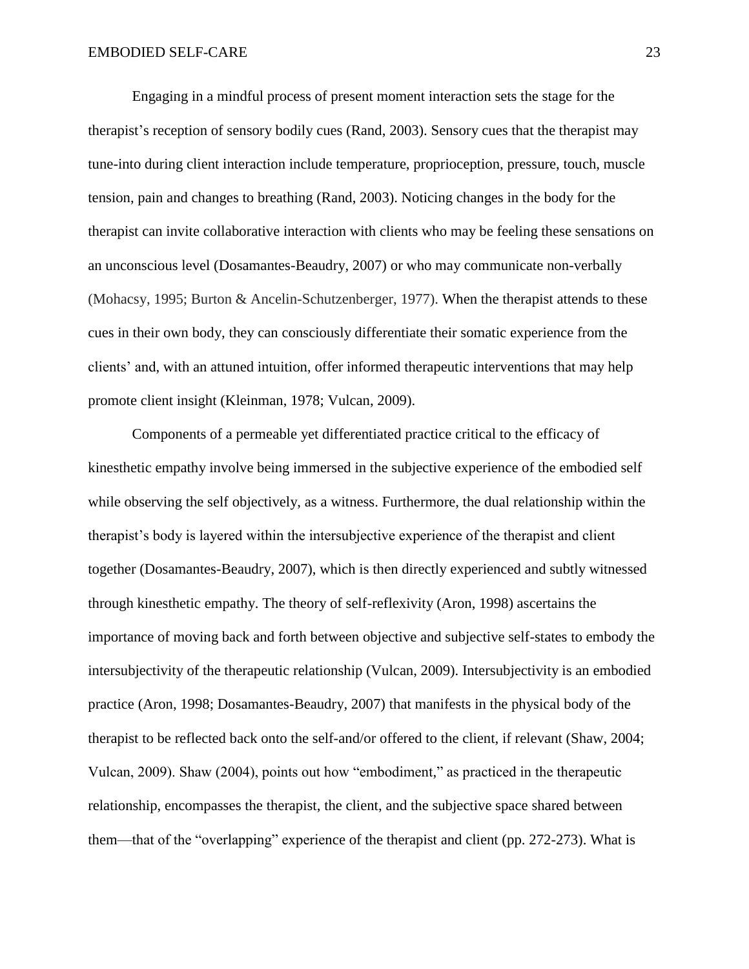Engaging in a mindful process of present moment interaction sets the stage for the therapist's reception of sensory bodily cues (Rand, 2003). Sensory cues that the therapist may tune-into during client interaction include temperature, proprioception, pressure, touch, muscle tension, pain and changes to breathing (Rand, 2003). Noticing changes in the body for the therapist can invite collaborative interaction with clients who may be feeling these sensations on an unconscious level (Dosamantes-Beaudry, 2007) or who may communicate non-verbally (Mohacsy, 1995; Burton & Ancelin-Schutzenberger, 1977). When the therapist attends to these cues in their own body, they can consciously differentiate their somatic experience from the clients' and, with an attuned intuition, offer informed therapeutic interventions that may help promote client insight (Kleinman, 1978; Vulcan, 2009).

Components of a permeable yet differentiated practice critical to the efficacy of kinesthetic empathy involve being immersed in the subjective experience of the embodied self while observing the self objectively, as a witness. Furthermore, the dual relationship within the therapist's body is layered within the intersubjective experience of the therapist and client together (Dosamantes-Beaudry, 2007), which is then directly experienced and subtly witnessed through kinesthetic empathy. The theory of self-reflexivity (Aron, 1998) ascertains the importance of moving back and forth between objective and subjective self-states to embody the intersubjectivity of the therapeutic relationship (Vulcan, 2009). Intersubjectivity is an embodied practice (Aron, 1998; Dosamantes-Beaudry, 2007) that manifests in the physical body of the therapist to be reflected back onto the self-and/or offered to the client, if relevant (Shaw, 2004; Vulcan, 2009). Shaw (2004), points out how "embodiment," as practiced in the therapeutic relationship, encompasses the therapist, the client, and the subjective space shared between them—that of the "overlapping" experience of the therapist and client (pp. 272-273). What is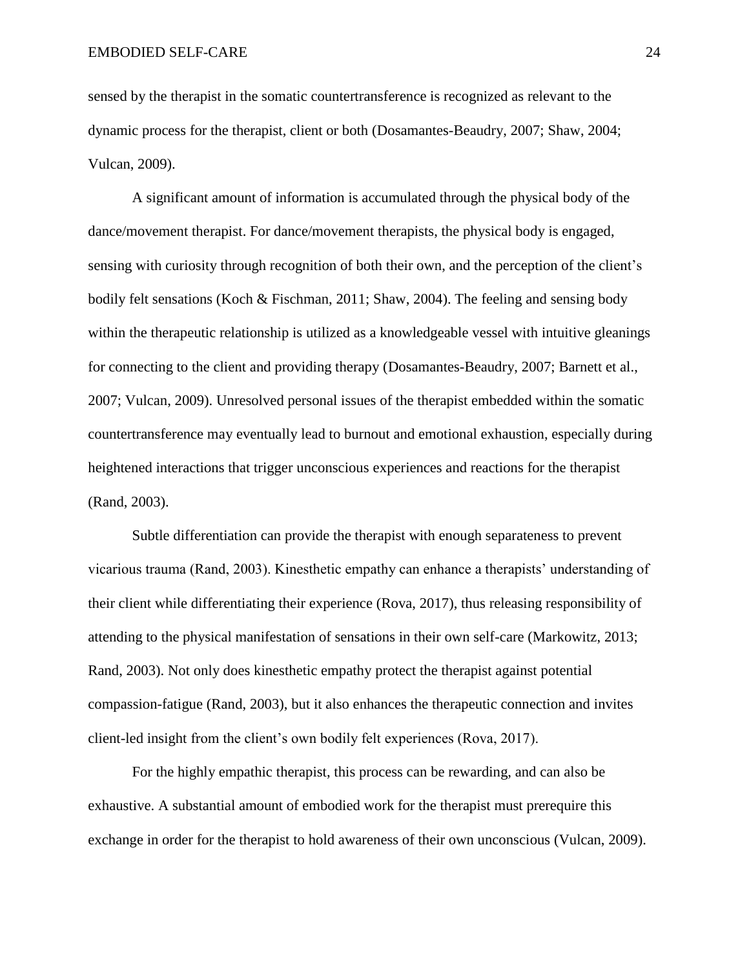sensed by the therapist in the somatic countertransference is recognized as relevant to the dynamic process for the therapist, client or both (Dosamantes-Beaudry, 2007; Shaw, 2004; Vulcan, 2009).

A significant amount of information is accumulated through the physical body of the dance/movement therapist. For dance/movement therapists, the physical body is engaged, sensing with curiosity through recognition of both their own, and the perception of the client's bodily felt sensations (Koch & Fischman, 2011; Shaw, 2004). The feeling and sensing body within the therapeutic relationship is utilized as a knowledgeable vessel with intuitive gleanings for connecting to the client and providing therapy (Dosamantes-Beaudry, 2007; Barnett et al., 2007; Vulcan, 2009). Unresolved personal issues of the therapist embedded within the somatic countertransference may eventually lead to burnout and emotional exhaustion, especially during heightened interactions that trigger unconscious experiences and reactions for the therapist (Rand, 2003).

Subtle differentiation can provide the therapist with enough separateness to prevent vicarious trauma (Rand, 2003). Kinesthetic empathy can enhance a therapists' understanding of their client while differentiating their experience (Rova, 2017), thus releasing responsibility of attending to the physical manifestation of sensations in their own self-care (Markowitz, 2013; Rand, 2003). Not only does kinesthetic empathy protect the therapist against potential compassion-fatigue (Rand, 2003), but it also enhances the therapeutic connection and invites client-led insight from the client's own bodily felt experiences (Rova, 2017).

For the highly empathic therapist, this process can be rewarding, and can also be exhaustive. A substantial amount of embodied work for the therapist must prerequire this exchange in order for the therapist to hold awareness of their own unconscious (Vulcan, 2009).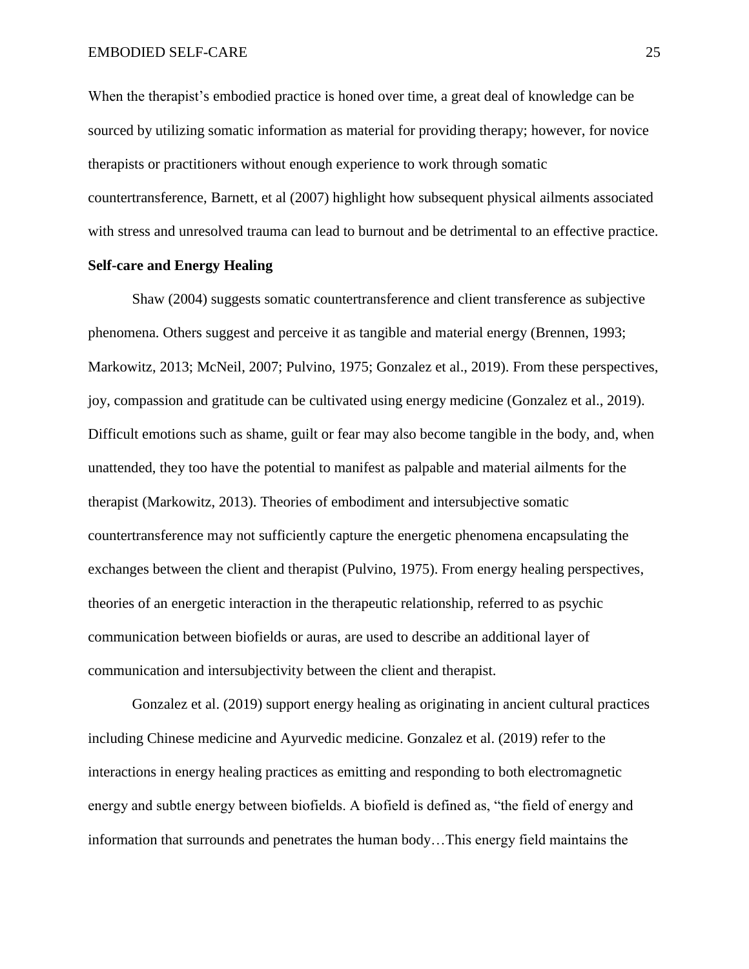When the therapist's embodied practice is honed over time, a great deal of knowledge can be sourced by utilizing somatic information as material for providing therapy; however, for novice therapists or practitioners without enough experience to work through somatic countertransference, Barnett, et al (2007) highlight how subsequent physical ailments associated with stress and unresolved trauma can lead to burnout and be detrimental to an effective practice.

## **Self-care and Energy Healing**

Shaw (2004) suggests somatic countertransference and client transference as subjective phenomena. Others suggest and perceive it as tangible and material energy (Brennen, 1993; Markowitz, 2013; McNeil, 2007; Pulvino, 1975; Gonzalez et al., 2019). From these perspectives, joy, compassion and gratitude can be cultivated using energy medicine (Gonzalez et al., 2019). Difficult emotions such as shame, guilt or fear may also become tangible in the body, and, when unattended, they too have the potential to manifest as palpable and material ailments for the therapist (Markowitz, 2013). Theories of embodiment and intersubjective somatic countertransference may not sufficiently capture the energetic phenomena encapsulating the exchanges between the client and therapist (Pulvino, 1975). From energy healing perspectives, theories of an energetic interaction in the therapeutic relationship, referred to as psychic communication between biofields or auras, are used to describe an additional layer of communication and intersubjectivity between the client and therapist.

Gonzalez et al. (2019) support energy healing as originating in ancient cultural practices including Chinese medicine and Ayurvedic medicine. Gonzalez et al. (2019) refer to the interactions in energy healing practices as emitting and responding to both electromagnetic energy and subtle energy between biofields. A biofield is defined as, "the field of energy and information that surrounds and penetrates the human body…This energy field maintains the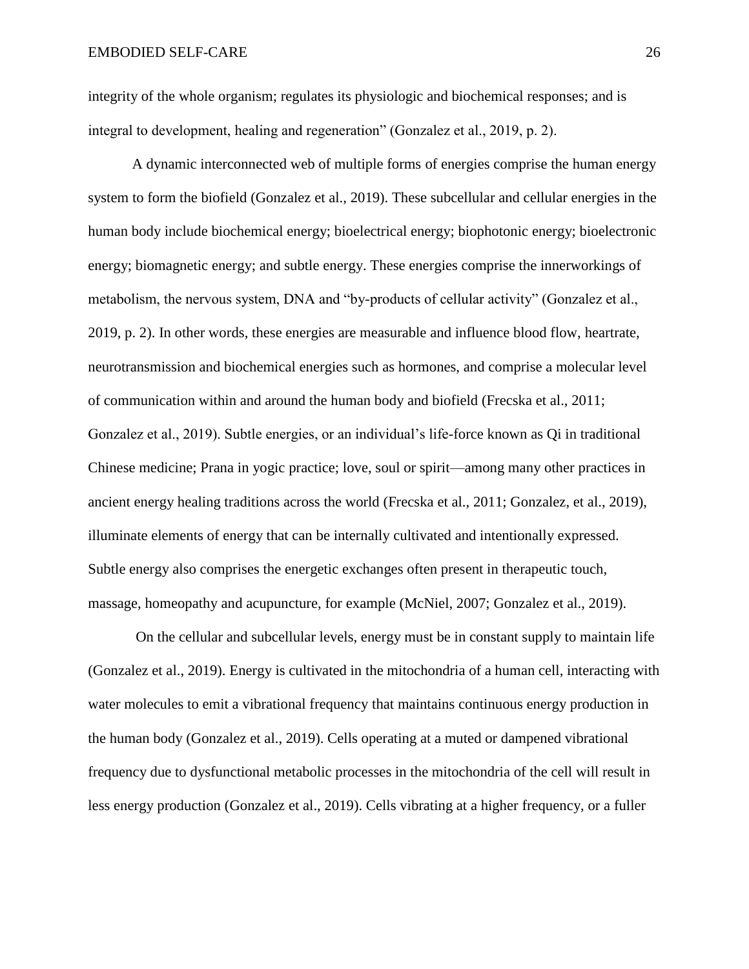integrity of the whole organism; regulates its physiologic and biochemical responses; and is integral to development, healing and regeneration" (Gonzalez et al., 2019, p. 2).

A dynamic interconnected web of multiple forms of energies comprise the human energy system to form the biofield (Gonzalez et al., 2019). These subcellular and cellular energies in the human body include biochemical energy; bioelectrical energy; biophotonic energy; bioelectronic energy; biomagnetic energy; and subtle energy. These energies comprise the innerworkings of metabolism, the nervous system, DNA and "by-products of cellular activity" (Gonzalez et al., 2019, p. 2). In other words, these energies are measurable and influence blood flow, heartrate, neurotransmission and biochemical energies such as hormones, and comprise a molecular level of communication within and around the human body and biofield (Frecska et al., 2011; Gonzalez et al., 2019). Subtle energies, or an individual's life-force known as Qi in traditional Chinese medicine; Prana in yogic practice; love, soul or spirit—among many other practices in ancient energy healing traditions across the world (Frecska et al., 2011; Gonzalez, et al., 2019), illuminate elements of energy that can be internally cultivated and intentionally expressed. Subtle energy also comprises the energetic exchanges often present in therapeutic touch, massage, homeopathy and acupuncture, for example (McNiel, 2007; Gonzalez et al., 2019).

On the cellular and subcellular levels, energy must be in constant supply to maintain life (Gonzalez et al., 2019). Energy is cultivated in the mitochondria of a human cell, interacting with water molecules to emit a vibrational frequency that maintains continuous energy production in the human body (Gonzalez et al., 2019). Cells operating at a muted or dampened vibrational frequency due to dysfunctional metabolic processes in the mitochondria of the cell will result in less energy production (Gonzalez et al., 2019). Cells vibrating at a higher frequency, or a fuller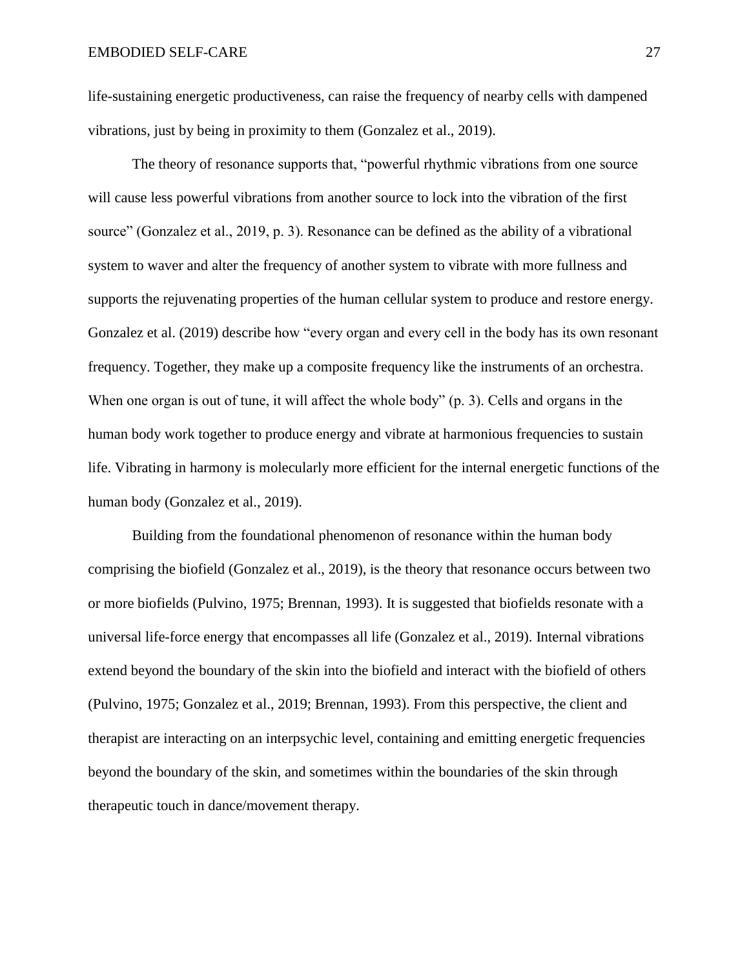life-sustaining energetic productiveness, can raise the frequency of nearby cells with dampened vibrations, just by being in proximity to them (Gonzalez et al., 2019).

The theory of resonance supports that, "powerful rhythmic vibrations from one source will cause less powerful vibrations from another source to lock into the vibration of the first source" (Gonzalez et al., 2019, p. 3). Resonance can be defined as the ability of a vibrational system to waver and alter the frequency of another system to vibrate with more fullness and supports the rejuvenating properties of the human cellular system to produce and restore energy. Gonzalez et al. (2019) describe how "every organ and every cell in the body has its own resonant frequency. Together, they make up a composite frequency like the instruments of an orchestra. When one organ is out of tune, it will affect the whole body" (p. 3). Cells and organs in the human body work together to produce energy and vibrate at harmonious frequencies to sustain life. Vibrating in harmony is molecularly more efficient for the internal energetic functions of the human body (Gonzalez et al., 2019).

Building from the foundational phenomenon of resonance within the human body comprising the biofield (Gonzalez et al., 2019), is the theory that resonance occurs between two or more biofields (Pulvino, 1975; Brennan, 1993). It is suggested that biofields resonate with a universal life-force energy that encompasses all life (Gonzalez et al., 2019). Internal vibrations extend beyond the boundary of the skin into the biofield and interact with the biofield of others (Pulvino, 1975; Gonzalez et al., 2019; Brennan, 1993). From this perspective, the client and therapist are interacting on an interpsychic level, containing and emitting energetic frequencies beyond the boundary of the skin, and sometimes within the boundaries of the skin through therapeutic touch in dance/movement therapy.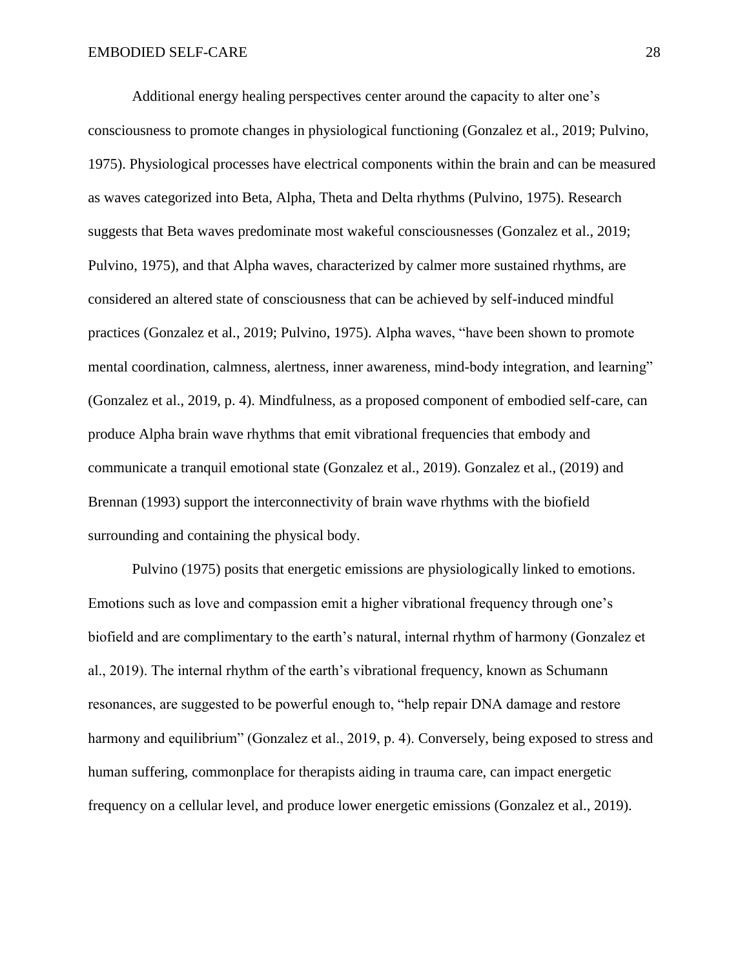Additional energy healing perspectives center around the capacity to alter one's consciousness to promote changes in physiological functioning (Gonzalez et al., 2019; Pulvino, 1975). Physiological processes have electrical components within the brain and can be measured as waves categorized into Beta, Alpha, Theta and Delta rhythms (Pulvino, 1975). Research suggests that Beta waves predominate most wakeful consciousnesses (Gonzalez et al., 2019; Pulvino, 1975), and that Alpha waves, characterized by calmer more sustained rhythms, are considered an altered state of consciousness that can be achieved by self-induced mindful practices (Gonzalez et al., 2019; Pulvino, 1975). Alpha waves, "have been shown to promote mental coordination, calmness, alertness, inner awareness, mind-body integration, and learning" (Gonzalez et al., 2019, p. 4). Mindfulness, as a proposed component of embodied self-care, can produce Alpha brain wave rhythms that emit vibrational frequencies that embody and communicate a tranquil emotional state (Gonzalez et al., 2019). Gonzalez et al., (2019) and Brennan (1993) support the interconnectivity of brain wave rhythms with the biofield surrounding and containing the physical body.

Pulvino (1975) posits that energetic emissions are physiologically linked to emotions. Emotions such as love and compassion emit a higher vibrational frequency through one's biofield and are complimentary to the earth's natural, internal rhythm of harmony (Gonzalez et al., 2019). The internal rhythm of the earth's vibrational frequency, known as Schumann resonances, are suggested to be powerful enough to, "help repair DNA damage and restore harmony and equilibrium" (Gonzalez et al., 2019, p. 4). Conversely, being exposed to stress and human suffering, commonplace for therapists aiding in trauma care, can impact energetic frequency on a cellular level, and produce lower energetic emissions (Gonzalez et al., 2019).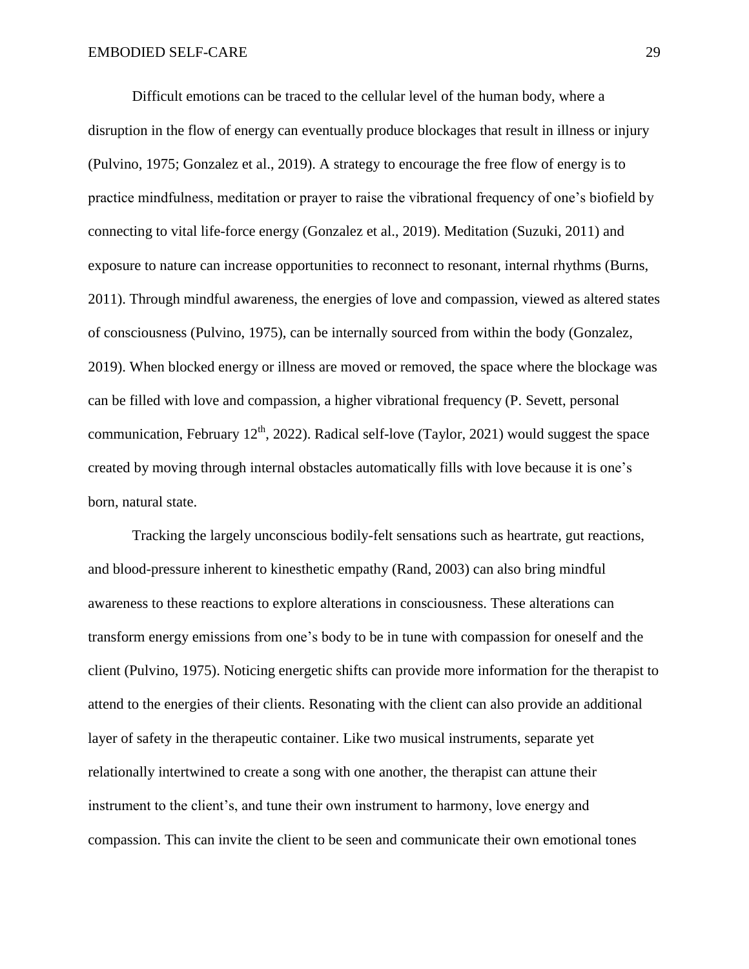Difficult emotions can be traced to the cellular level of the human body, where a disruption in the flow of energy can eventually produce blockages that result in illness or injury (Pulvino, 1975; Gonzalez et al., 2019). A strategy to encourage the free flow of energy is to practice mindfulness, meditation or prayer to raise the vibrational frequency of one's biofield by connecting to vital life-force energy (Gonzalez et al., 2019). Meditation (Suzuki, 2011) and exposure to nature can increase opportunities to reconnect to resonant, internal rhythms (Burns, 2011). Through mindful awareness, the energies of love and compassion, viewed as altered states of consciousness (Pulvino, 1975), can be internally sourced from within the body (Gonzalez, 2019). When blocked energy or illness are moved or removed, the space where the blockage was can be filled with love and compassion, a higher vibrational frequency (P. Sevett, personal communication, February  $12<sup>th</sup>$ , 2022). Radical self-love (Taylor, 2021) would suggest the space created by moving through internal obstacles automatically fills with love because it is one's born, natural state.

Tracking the largely unconscious bodily-felt sensations such as heartrate, gut reactions, and blood-pressure inherent to kinesthetic empathy (Rand, 2003) can also bring mindful awareness to these reactions to explore alterations in consciousness. These alterations can transform energy emissions from one's body to be in tune with compassion for oneself and the client (Pulvino, 1975). Noticing energetic shifts can provide more information for the therapist to attend to the energies of their clients. Resonating with the client can also provide an additional layer of safety in the therapeutic container. Like two musical instruments, separate yet relationally intertwined to create a song with one another, the therapist can attune their instrument to the client's, and tune their own instrument to harmony, love energy and compassion. This can invite the client to be seen and communicate their own emotional tones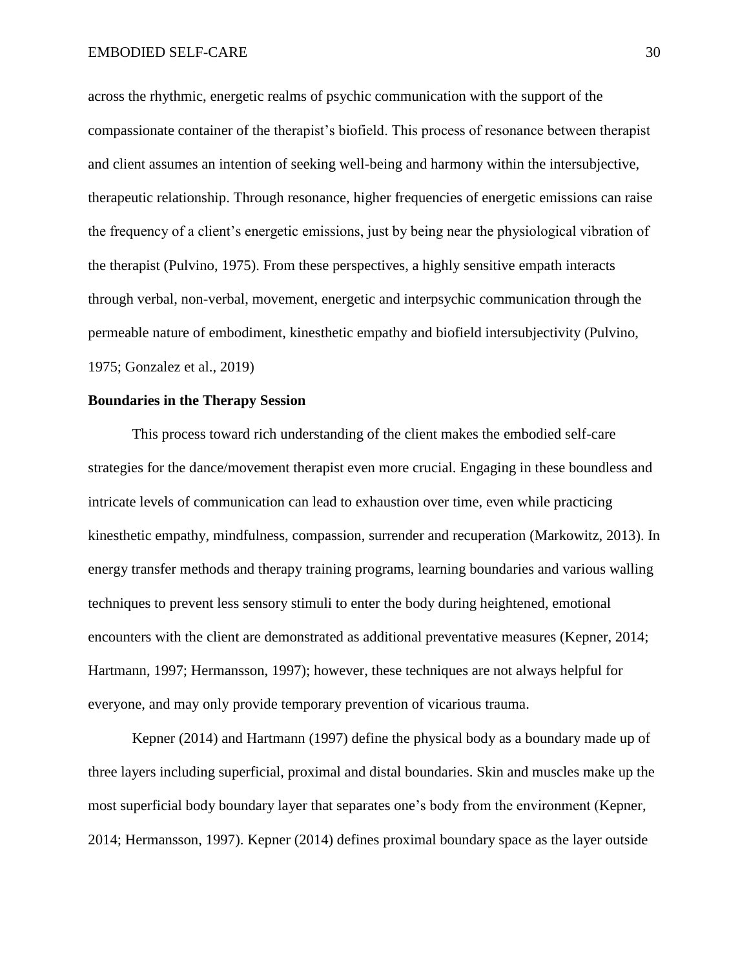across the rhythmic, energetic realms of psychic communication with the support of the compassionate container of the therapist's biofield. This process of resonance between therapist and client assumes an intention of seeking well-being and harmony within the intersubjective, therapeutic relationship. Through resonance, higher frequencies of energetic emissions can raise the frequency of a client's energetic emissions, just by being near the physiological vibration of the therapist (Pulvino, 1975). From these perspectives, a highly sensitive empath interacts through verbal, non-verbal, movement, energetic and interpsychic communication through the permeable nature of embodiment, kinesthetic empathy and biofield intersubjectivity (Pulvino, 1975; Gonzalez et al., 2019)

#### **Boundaries in the Therapy Session**

This process toward rich understanding of the client makes the embodied self-care strategies for the dance/movement therapist even more crucial. Engaging in these boundless and intricate levels of communication can lead to exhaustion over time, even while practicing kinesthetic empathy, mindfulness, compassion, surrender and recuperation (Markowitz, 2013). In energy transfer methods and therapy training programs, learning boundaries and various walling techniques to prevent less sensory stimuli to enter the body during heightened, emotional encounters with the client are demonstrated as additional preventative measures (Kepner, 2014; Hartmann, 1997; Hermansson, 1997); however, these techniques are not always helpful for everyone, and may only provide temporary prevention of vicarious trauma.

Kepner (2014) and Hartmann (1997) define the physical body as a boundary made up of three layers including superficial, proximal and distal boundaries. Skin and muscles make up the most superficial body boundary layer that separates one's body from the environment (Kepner, 2014; Hermansson, 1997). Kepner (2014) defines proximal boundary space as the layer outside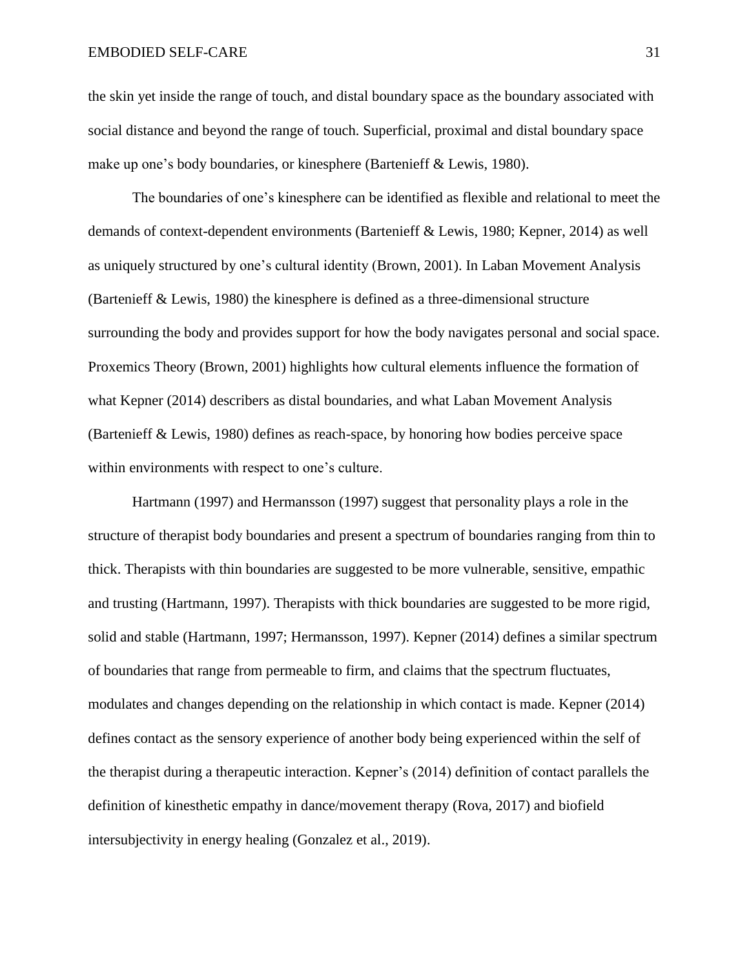the skin yet inside the range of touch, and distal boundary space as the boundary associated with social distance and beyond the range of touch. Superficial, proximal and distal boundary space make up one's body boundaries, or kinesphere (Bartenieff & Lewis, 1980).

The boundaries of one's kinesphere can be identified as flexible and relational to meet the demands of context-dependent environments (Bartenieff & Lewis, 1980; Kepner, 2014) as well as uniquely structured by one's cultural identity (Brown, 2001). In Laban Movement Analysis (Bartenieff & Lewis, 1980) the kinesphere is defined as a three-dimensional structure surrounding the body and provides support for how the body navigates personal and social space. Proxemics Theory (Brown, 2001) highlights how cultural elements influence the formation of what Kepner (2014) describers as distal boundaries, and what Laban Movement Analysis (Bartenieff & Lewis, 1980) defines as reach-space, by honoring how bodies perceive space within environments with respect to one's culture.

Hartmann (1997) and Hermansson (1997) suggest that personality plays a role in the structure of therapist body boundaries and present a spectrum of boundaries ranging from thin to thick. Therapists with thin boundaries are suggested to be more vulnerable, sensitive, empathic and trusting (Hartmann, 1997). Therapists with thick boundaries are suggested to be more rigid, solid and stable (Hartmann, 1997; Hermansson, 1997). Kepner (2014) defines a similar spectrum of boundaries that range from permeable to firm, and claims that the spectrum fluctuates, modulates and changes depending on the relationship in which contact is made. Kepner (2014) defines contact as the sensory experience of another body being experienced within the self of the therapist during a therapeutic interaction. Kepner's (2014) definition of contact parallels the definition of kinesthetic empathy in dance/movement therapy (Rova, 2017) and biofield intersubjectivity in energy healing (Gonzalez et al., 2019).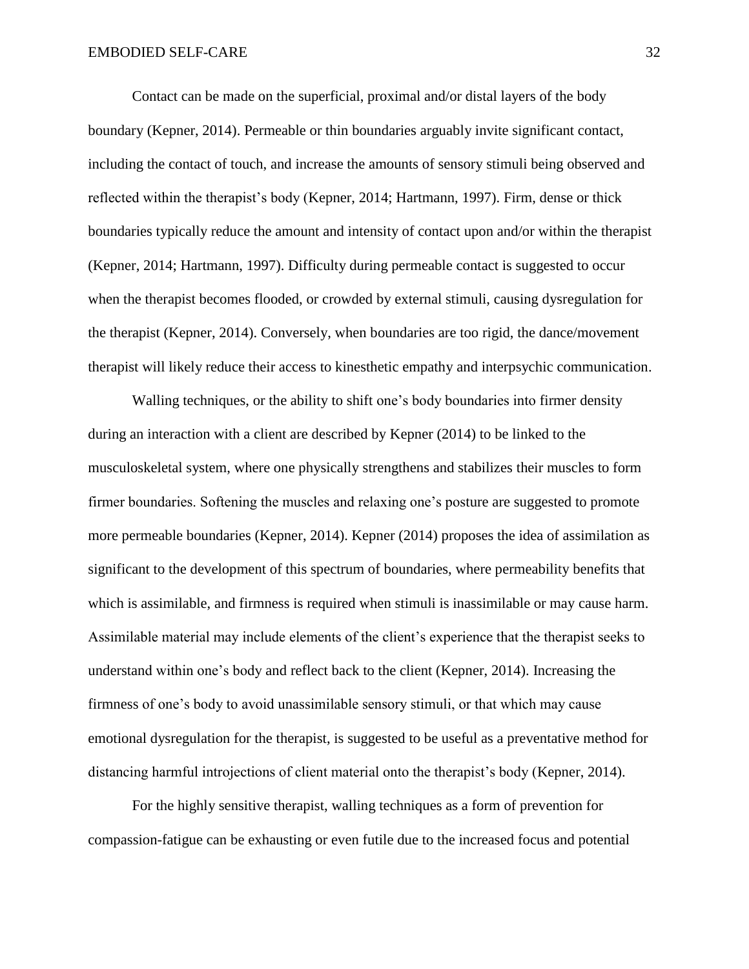Contact can be made on the superficial, proximal and/or distal layers of the body boundary (Kepner, 2014). Permeable or thin boundaries arguably invite significant contact, including the contact of touch, and increase the amounts of sensory stimuli being observed and reflected within the therapist's body (Kepner, 2014; Hartmann, 1997). Firm, dense or thick boundaries typically reduce the amount and intensity of contact upon and/or within the therapist (Kepner, 2014; Hartmann, 1997). Difficulty during permeable contact is suggested to occur when the therapist becomes flooded, or crowded by external stimuli, causing dysregulation for the therapist (Kepner, 2014). Conversely, when boundaries are too rigid, the dance/movement therapist will likely reduce their access to kinesthetic empathy and interpsychic communication.

Walling techniques, or the ability to shift one's body boundaries into firmer density during an interaction with a client are described by Kepner (2014) to be linked to the musculoskeletal system, where one physically strengthens and stabilizes their muscles to form firmer boundaries. Softening the muscles and relaxing one's posture are suggested to promote more permeable boundaries (Kepner, 2014). Kepner (2014) proposes the idea of assimilation as significant to the development of this spectrum of boundaries, where permeability benefits that which is assimilable, and firmness is required when stimuli is inassimilable or may cause harm. Assimilable material may include elements of the client's experience that the therapist seeks to understand within one's body and reflect back to the client (Kepner, 2014). Increasing the firmness of one's body to avoid unassimilable sensory stimuli, or that which may cause emotional dysregulation for the therapist, is suggested to be useful as a preventative method for distancing harmful introjections of client material onto the therapist's body (Kepner, 2014).

For the highly sensitive therapist, walling techniques as a form of prevention for compassion-fatigue can be exhausting or even futile due to the increased focus and potential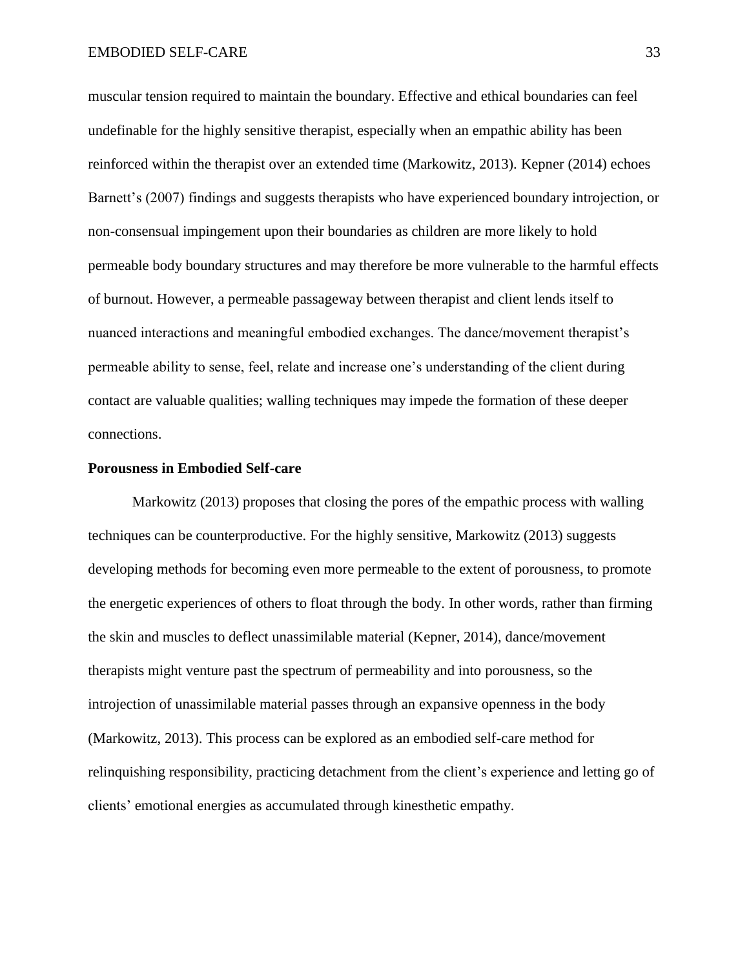muscular tension required to maintain the boundary. Effective and ethical boundaries can feel undefinable for the highly sensitive therapist, especially when an empathic ability has been reinforced within the therapist over an extended time (Markowitz, 2013). Kepner (2014) echoes Barnett's (2007) findings and suggests therapists who have experienced boundary introjection, or non-consensual impingement upon their boundaries as children are more likely to hold permeable body boundary structures and may therefore be more vulnerable to the harmful effects of burnout. However, a permeable passageway between therapist and client lends itself to nuanced interactions and meaningful embodied exchanges. The dance/movement therapist's permeable ability to sense, feel, relate and increase one's understanding of the client during contact are valuable qualities; walling techniques may impede the formation of these deeper connections.

#### **Porousness in Embodied Self-care**

Markowitz (2013) proposes that closing the pores of the empathic process with walling techniques can be counterproductive. For the highly sensitive, Markowitz (2013) suggests developing methods for becoming even more permeable to the extent of porousness, to promote the energetic experiences of others to float through the body. In other words, rather than firming the skin and muscles to deflect unassimilable material (Kepner, 2014), dance/movement therapists might venture past the spectrum of permeability and into porousness, so the introjection of unassimilable material passes through an expansive openness in the body (Markowitz, 2013). This process can be explored as an embodied self-care method for relinquishing responsibility, practicing detachment from the client's experience and letting go of clients' emotional energies as accumulated through kinesthetic empathy.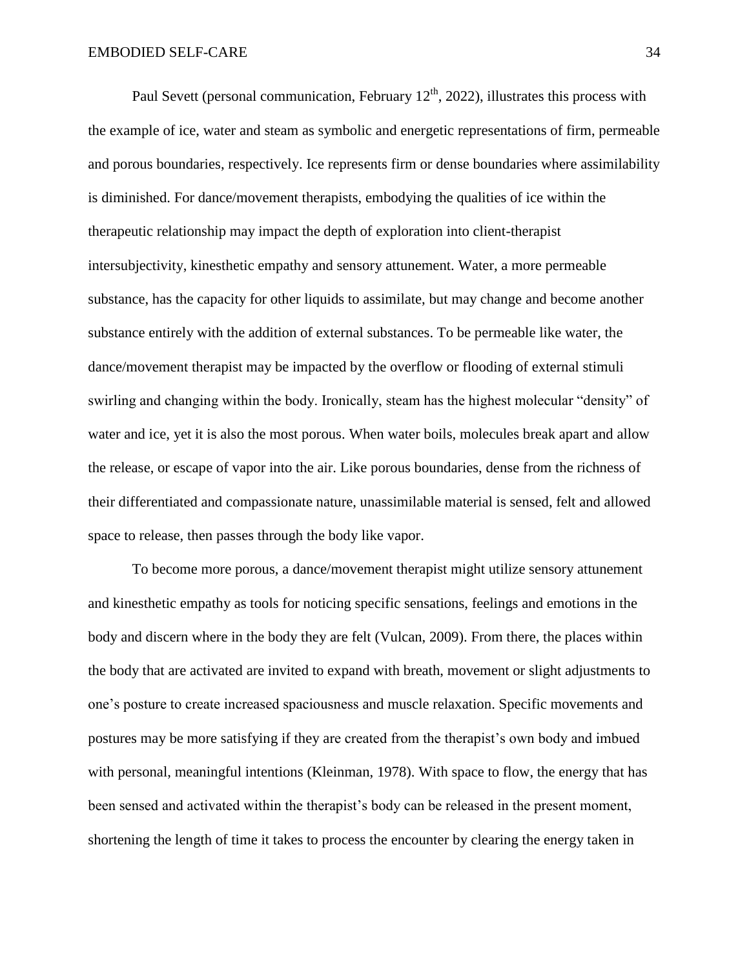Paul Sevett (personal communication, February  $12<sup>th</sup>$ , 2022), illustrates this process with the example of ice, water and steam as symbolic and energetic representations of firm, permeable and porous boundaries, respectively. Ice represents firm or dense boundaries where assimilability is diminished. For dance/movement therapists, embodying the qualities of ice within the therapeutic relationship may impact the depth of exploration into client-therapist intersubjectivity, kinesthetic empathy and sensory attunement. Water, a more permeable substance, has the capacity for other liquids to assimilate, but may change and become another substance entirely with the addition of external substances. To be permeable like water, the dance/movement therapist may be impacted by the overflow or flooding of external stimuli swirling and changing within the body. Ironically, steam has the highest molecular "density" of water and ice, yet it is also the most porous. When water boils, molecules break apart and allow the release, or escape of vapor into the air. Like porous boundaries, dense from the richness of their differentiated and compassionate nature, unassimilable material is sensed, felt and allowed space to release, then passes through the body like vapor.

To become more porous, a dance/movement therapist might utilize sensory attunement and kinesthetic empathy as tools for noticing specific sensations, feelings and emotions in the body and discern where in the body they are felt (Vulcan, 2009). From there, the places within the body that are activated are invited to expand with breath, movement or slight adjustments to one's posture to create increased spaciousness and muscle relaxation. Specific movements and postures may be more satisfying if they are created from the therapist's own body and imbued with personal, meaningful intentions (Kleinman, 1978). With space to flow, the energy that has been sensed and activated within the therapist's body can be released in the present moment, shortening the length of time it takes to process the encounter by clearing the energy taken in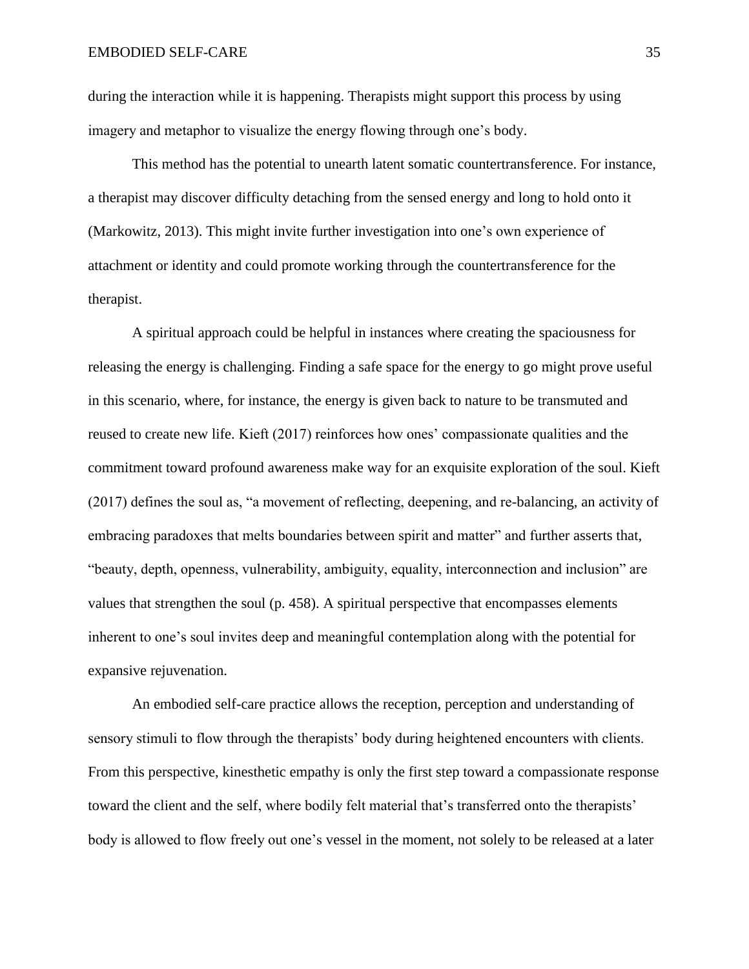during the interaction while it is happening. Therapists might support this process by using imagery and metaphor to visualize the energy flowing through one's body.

This method has the potential to unearth latent somatic countertransference. For instance, a therapist may discover difficulty detaching from the sensed energy and long to hold onto it (Markowitz, 2013). This might invite further investigation into one's own experience of attachment or identity and could promote working through the countertransference for the therapist.

A spiritual approach could be helpful in instances where creating the spaciousness for releasing the energy is challenging. Finding a safe space for the energy to go might prove useful in this scenario, where, for instance, the energy is given back to nature to be transmuted and reused to create new life. Kieft (2017) reinforces how ones' compassionate qualities and the commitment toward profound awareness make way for an exquisite exploration of the soul. Kieft (2017) defines the soul as, "a movement of reflecting, deepening, and re-balancing, an activity of embracing paradoxes that melts boundaries between spirit and matter" and further asserts that, "beauty, depth, openness, vulnerability, ambiguity, equality, interconnection and inclusion" are values that strengthen the soul (p. 458). A spiritual perspective that encompasses elements inherent to one's soul invites deep and meaningful contemplation along with the potential for expansive rejuvenation.

An embodied self-care practice allows the reception, perception and understanding of sensory stimuli to flow through the therapists' body during heightened encounters with clients. From this perspective, kinesthetic empathy is only the first step toward a compassionate response toward the client and the self, where bodily felt material that's transferred onto the therapists' body is allowed to flow freely out one's vessel in the moment, not solely to be released at a later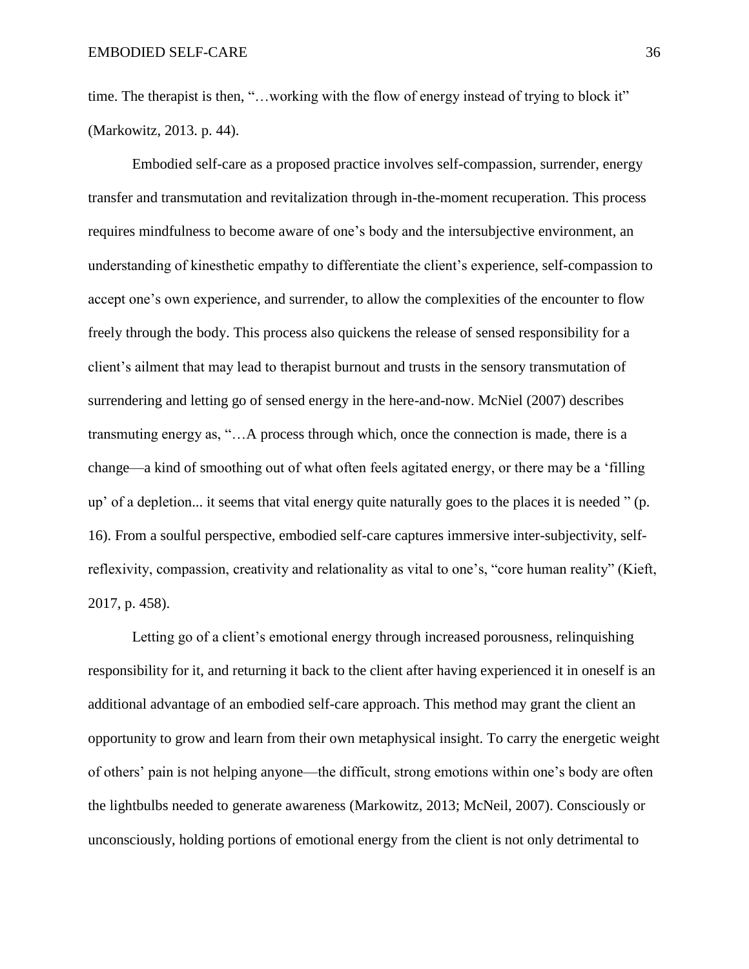time. The therapist is then, "...working with the flow of energy instead of trying to block it" (Markowitz, 2013. p. 44).

Embodied self-care as a proposed practice involves self-compassion, surrender, energy transfer and transmutation and revitalization through in-the-moment recuperation. This process requires mindfulness to become aware of one's body and the intersubjective environment, an understanding of kinesthetic empathy to differentiate the client's experience, self-compassion to accept one's own experience, and surrender, to allow the complexities of the encounter to flow freely through the body. This process also quickens the release of sensed responsibility for a client's ailment that may lead to therapist burnout and trusts in the sensory transmutation of surrendering and letting go of sensed energy in the here-and-now. McNiel (2007) describes transmuting energy as, "…A process through which, once the connection is made, there is a change—a kind of smoothing out of what often feels agitated energy, or there may be a 'filling up' of a depletion... it seems that vital energy quite naturally goes to the places it is needed " (p. 16). From a soulful perspective, embodied self-care captures immersive inter-subjectivity, selfreflexivity, compassion, creativity and relationality as vital to one's, "core human reality" (Kieft, 2017, p. 458).

Letting go of a client's emotional energy through increased porousness, relinquishing responsibility for it, and returning it back to the client after having experienced it in oneself is an additional advantage of an embodied self-care approach. This method may grant the client an opportunity to grow and learn from their own metaphysical insight. To carry the energetic weight of others' pain is not helping anyone—the difficult, strong emotions within one's body are often the lightbulbs needed to generate awareness (Markowitz, 2013; McNeil, 2007). Consciously or unconsciously, holding portions of emotional energy from the client is not only detrimental to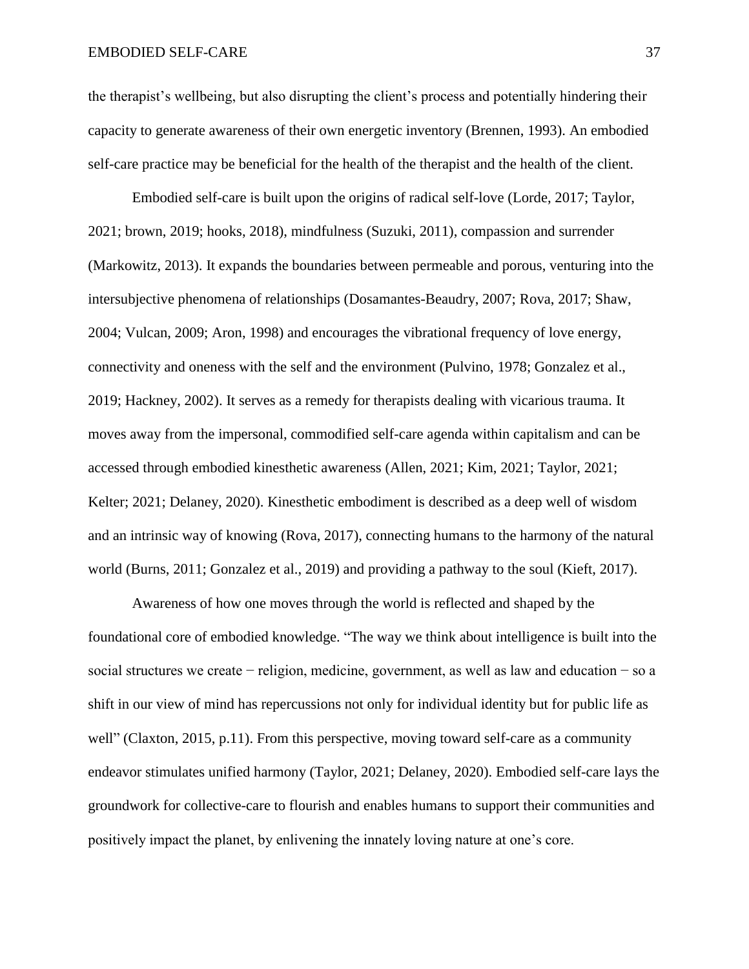the therapist's wellbeing, but also disrupting the client's process and potentially hindering their capacity to generate awareness of their own energetic inventory (Brennen, 1993). An embodied self-care practice may be beneficial for the health of the therapist and the health of the client.

Embodied self-care is built upon the origins of radical self-love (Lorde, 2017; Taylor, 2021; brown, 2019; hooks, 2018), mindfulness (Suzuki, 2011), compassion and surrender (Markowitz, 2013). It expands the boundaries between permeable and porous, venturing into the intersubjective phenomena of relationships (Dosamantes-Beaudry, 2007; Rova, 2017; Shaw, 2004; Vulcan, 2009; Aron, 1998) and encourages the vibrational frequency of love energy, connectivity and oneness with the self and the environment (Pulvino, 1978; Gonzalez et al., 2019; Hackney, 2002). It serves as a remedy for therapists dealing with vicarious trauma. It moves away from the impersonal, commodified self-care agenda within capitalism and can be accessed through embodied kinesthetic awareness (Allen, 2021; Kim, 2021; Taylor, 2021; Kelter; 2021; Delaney, 2020). Kinesthetic embodiment is described as a deep well of wisdom and an intrinsic way of knowing (Rova, 2017), connecting humans to the harmony of the natural world (Burns, 2011; Gonzalez et al., 2019) and providing a pathway to the soul (Kieft, 2017).

Awareness of how one moves through the world is reflected and shaped by the foundational core of embodied knowledge. "The way we think about intelligence is built into the social structures we create – religion, medicine, government, as well as law and education – so a shift in our view of mind has repercussions not only for individual identity but for public life as well" (Claxton, 2015, p.11). From this perspective, moving toward self-care as a community endeavor stimulates unified harmony (Taylor, 2021; Delaney, 2020). Embodied self-care lays the groundwork for collective-care to flourish and enables humans to support their communities and positively impact the planet, by enlivening the innately loving nature at one's core.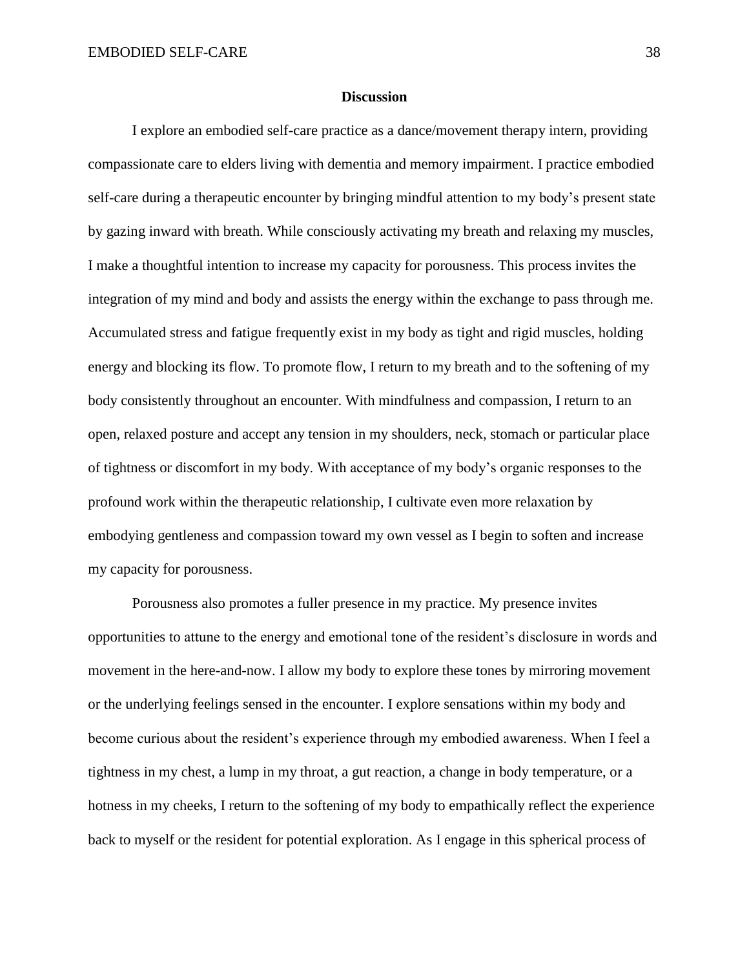#### **Discussion**

I explore an embodied self-care practice as a dance/movement therapy intern, providing compassionate care to elders living with dementia and memory impairment. I practice embodied self-care during a therapeutic encounter by bringing mindful attention to my body's present state by gazing inward with breath. While consciously activating my breath and relaxing my muscles, I make a thoughtful intention to increase my capacity for porousness. This process invites the integration of my mind and body and assists the energy within the exchange to pass through me. Accumulated stress and fatigue frequently exist in my body as tight and rigid muscles, holding energy and blocking its flow. To promote flow, I return to my breath and to the softening of my body consistently throughout an encounter. With mindfulness and compassion, I return to an open, relaxed posture and accept any tension in my shoulders, neck, stomach or particular place of tightness or discomfort in my body. With acceptance of my body's organic responses to the profound work within the therapeutic relationship, I cultivate even more relaxation by embodying gentleness and compassion toward my own vessel as I begin to soften and increase my capacity for porousness.

Porousness also promotes a fuller presence in my practice. My presence invites opportunities to attune to the energy and emotional tone of the resident's disclosure in words and movement in the here-and-now. I allow my body to explore these tones by mirroring movement or the underlying feelings sensed in the encounter. I explore sensations within my body and become curious about the resident's experience through my embodied awareness. When I feel a tightness in my chest, a lump in my throat, a gut reaction, a change in body temperature, or a hotness in my cheeks, I return to the softening of my body to empathically reflect the experience back to myself or the resident for potential exploration. As I engage in this spherical process of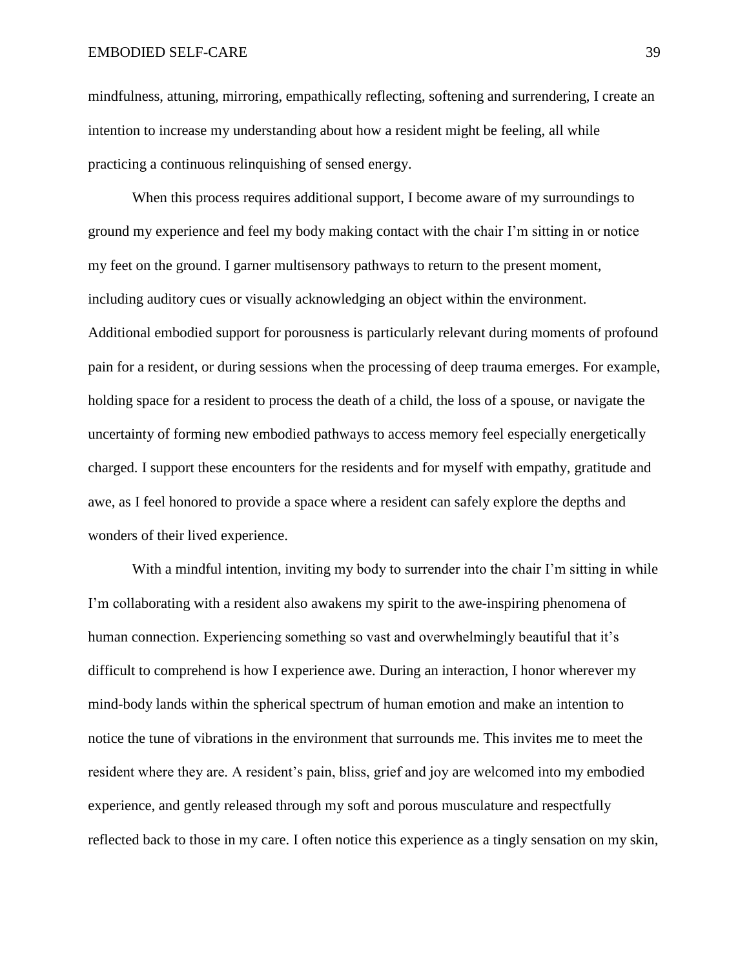mindfulness, attuning, mirroring, empathically reflecting, softening and surrendering, I create an intention to increase my understanding about how a resident might be feeling, all while practicing a continuous relinquishing of sensed energy.

When this process requires additional support, I become aware of my surroundings to ground my experience and feel my body making contact with the chair I'm sitting in or notice my feet on the ground. I garner multisensory pathways to return to the present moment, including auditory cues or visually acknowledging an object within the environment. Additional embodied support for porousness is particularly relevant during moments of profound pain for a resident, or during sessions when the processing of deep trauma emerges. For example, holding space for a resident to process the death of a child, the loss of a spouse, or navigate the uncertainty of forming new embodied pathways to access memory feel especially energetically charged. I support these encounters for the residents and for myself with empathy, gratitude and awe, as I feel honored to provide a space where a resident can safely explore the depths and wonders of their lived experience.

With a mindful intention, inviting my body to surrender into the chair I'm sitting in while I'm collaborating with a resident also awakens my spirit to the awe-inspiring phenomena of human connection. Experiencing something so vast and overwhelmingly beautiful that it's difficult to comprehend is how I experience awe. During an interaction, I honor wherever my mind-body lands within the spherical spectrum of human emotion and make an intention to notice the tune of vibrations in the environment that surrounds me. This invites me to meet the resident where they are. A resident's pain, bliss, grief and joy are welcomed into my embodied experience, and gently released through my soft and porous musculature and respectfully reflected back to those in my care. I often notice this experience as a tingly sensation on my skin,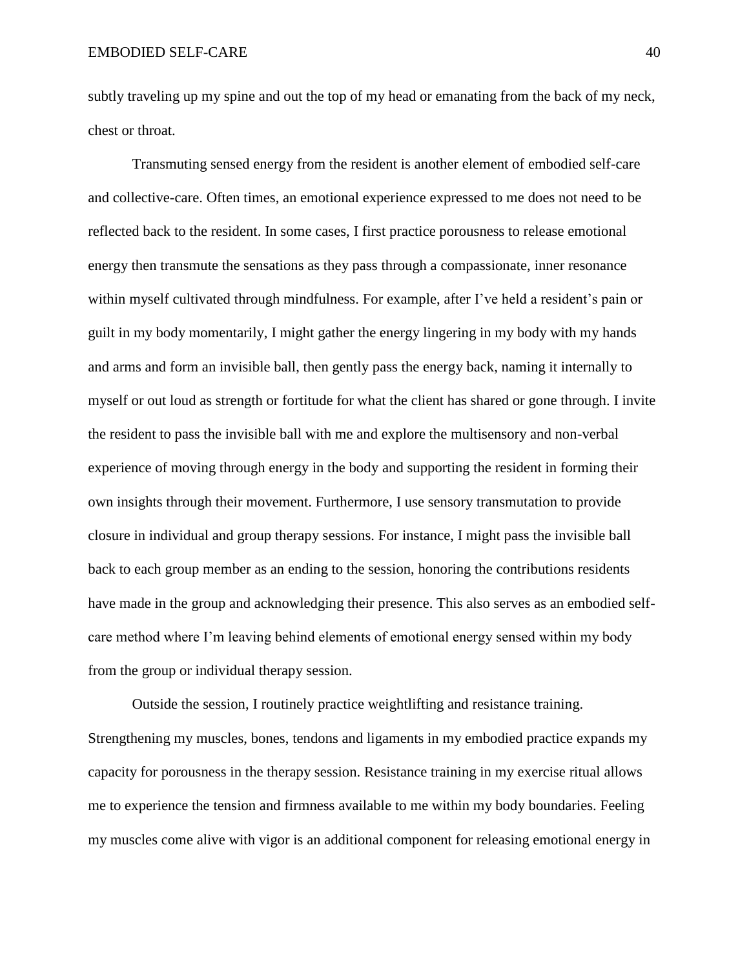subtly traveling up my spine and out the top of my head or emanating from the back of my neck, chest or throat.

Transmuting sensed energy from the resident is another element of embodied self-care and collective-care. Often times, an emotional experience expressed to me does not need to be reflected back to the resident. In some cases, I first practice porousness to release emotional energy then transmute the sensations as they pass through a compassionate, inner resonance within myself cultivated through mindfulness. For example, after I've held a resident's pain or guilt in my body momentarily, I might gather the energy lingering in my body with my hands and arms and form an invisible ball, then gently pass the energy back, naming it internally to myself or out loud as strength or fortitude for what the client has shared or gone through. I invite the resident to pass the invisible ball with me and explore the multisensory and non-verbal experience of moving through energy in the body and supporting the resident in forming their own insights through their movement. Furthermore, I use sensory transmutation to provide closure in individual and group therapy sessions. For instance, I might pass the invisible ball back to each group member as an ending to the session, honoring the contributions residents have made in the group and acknowledging their presence. This also serves as an embodied selfcare method where I'm leaving behind elements of emotional energy sensed within my body from the group or individual therapy session.

Outside the session, I routinely practice weightlifting and resistance training. Strengthening my muscles, bones, tendons and ligaments in my embodied practice expands my capacity for porousness in the therapy session. Resistance training in my exercise ritual allows me to experience the tension and firmness available to me within my body boundaries. Feeling my muscles come alive with vigor is an additional component for releasing emotional energy in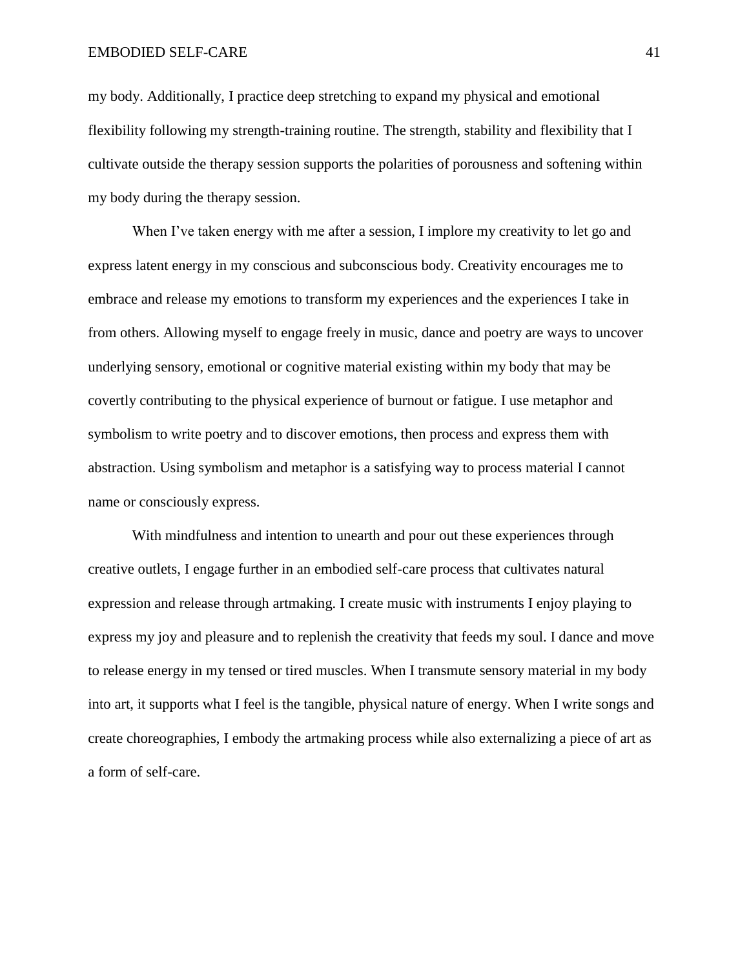my body. Additionally, I practice deep stretching to expand my physical and emotional flexibility following my strength-training routine. The strength, stability and flexibility that I cultivate outside the therapy session supports the polarities of porousness and softening within my body during the therapy session.

When I've taken energy with me after a session, I implore my creativity to let go and express latent energy in my conscious and subconscious body. Creativity encourages me to embrace and release my emotions to transform my experiences and the experiences I take in from others. Allowing myself to engage freely in music, dance and poetry are ways to uncover underlying sensory, emotional or cognitive material existing within my body that may be covertly contributing to the physical experience of burnout or fatigue. I use metaphor and symbolism to write poetry and to discover emotions, then process and express them with abstraction. Using symbolism and metaphor is a satisfying way to process material I cannot name or consciously express.

With mindfulness and intention to unearth and pour out these experiences through creative outlets, I engage further in an embodied self-care process that cultivates natural expression and release through artmaking. I create music with instruments I enjoy playing to express my joy and pleasure and to replenish the creativity that feeds my soul. I dance and move to release energy in my tensed or tired muscles. When I transmute sensory material in my body into art, it supports what I feel is the tangible, physical nature of energy. When I write songs and create choreographies, I embody the artmaking process while also externalizing a piece of art as a form of self-care.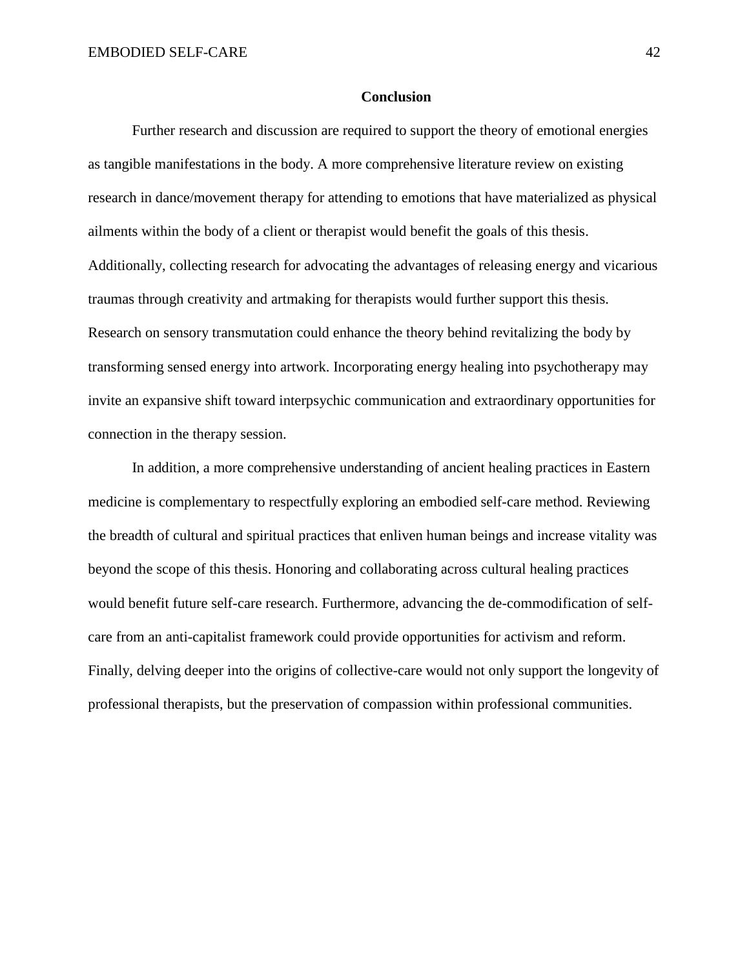#### **Conclusion**

Further research and discussion are required to support the theory of emotional energies as tangible manifestations in the body. A more comprehensive literature review on existing research in dance/movement therapy for attending to emotions that have materialized as physical ailments within the body of a client or therapist would benefit the goals of this thesis. Additionally, collecting research for advocating the advantages of releasing energy and vicarious traumas through creativity and artmaking for therapists would further support this thesis. Research on sensory transmutation could enhance the theory behind revitalizing the body by transforming sensed energy into artwork. Incorporating energy healing into psychotherapy may invite an expansive shift toward interpsychic communication and extraordinary opportunities for connection in the therapy session.

In addition, a more comprehensive understanding of ancient healing practices in Eastern medicine is complementary to respectfully exploring an embodied self-care method. Reviewing the breadth of cultural and spiritual practices that enliven human beings and increase vitality was beyond the scope of this thesis. Honoring and collaborating across cultural healing practices would benefit future self-care research. Furthermore, advancing the de-commodification of selfcare from an anti-capitalist framework could provide opportunities for activism and reform. Finally, delving deeper into the origins of collective-care would not only support the longevity of professional therapists, but the preservation of compassion within professional communities.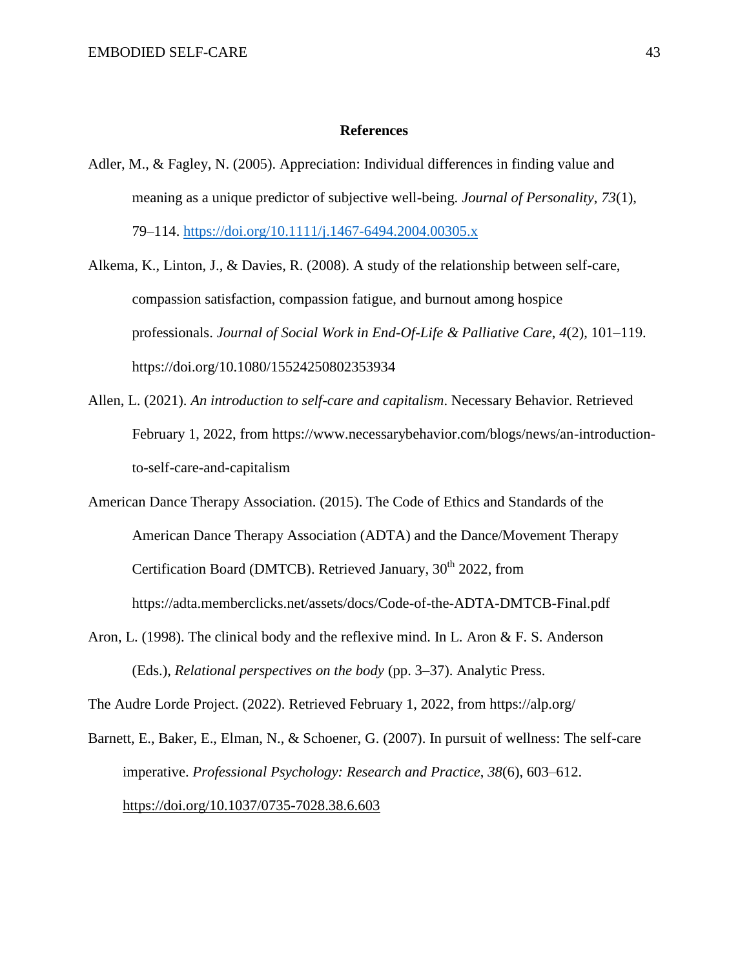#### **References**

- Adler, M., & Fagley, N. (2005). Appreciation: Individual differences in finding value and meaning as a unique predictor of subjective well-being. *Journal of Personality*, *73*(1), 79–114.<https://doi.org/10.1111/j.1467-6494.2004.00305.x>
- Alkema, K., Linton, J., & Davies, R. (2008). A study of the relationship between self-care, compassion satisfaction, compassion fatigue, and burnout among hospice professionals. *Journal of Social Work in End-Of-Life & Palliative Care*, *4*(2), 101–119. https://doi.org/10.1080/15524250802353934
- Allen, L. (2021). *An introduction to self-care and capitalism*. Necessary Behavior. Retrieved February 1, 2022, from https://www.necessarybehavior.com/blogs/news/an-introductionto-self-care-and-capitalism
- American Dance Therapy Association. (2015). The Code of Ethics and Standards of the American Dance Therapy Association (ADTA) and the Dance/Movement Therapy Certification Board (DMTCB). Retrieved January, 30<sup>th</sup> 2022, from https://adta.memberclicks.net/assets/docs/Code-of-the-ADTA-DMTCB-Final.pdf
- Aron, L. (1998). The clinical body and the reflexive mind. In L. Aron & F. S. Anderson (Eds.), *Relational perspectives on the body* (pp. 3–37). Analytic Press.

The Audre Lorde Project. (2022). Retrieved February 1, 2022, from https://alp.org/

Barnett, E., Baker, E., Elman, N., & Schoener, G. (2007). In pursuit of wellness: The self-care imperative. *Professional Psychology: Research and Practice*, *38*(6), 603–612. <https://doi.org/10.1037/0735-7028.38.6.603>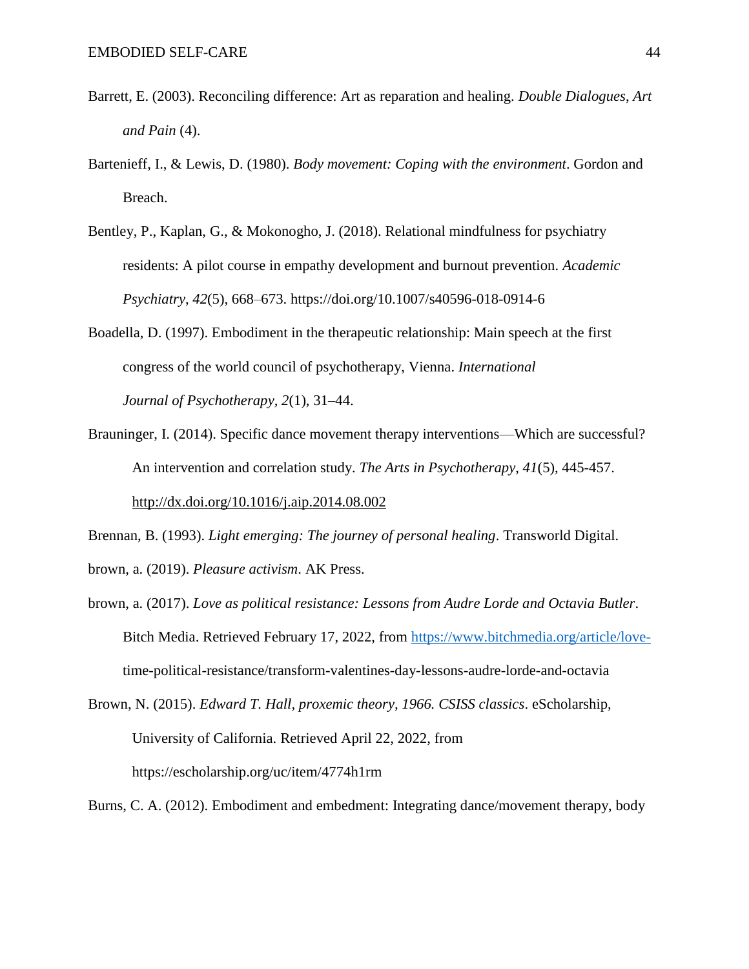- Barrett, E. (2003). Reconciling difference: Art as reparation and healing. *Double Dialogues*, *Art and Pain* (4).
- Bartenieff, I., & Lewis, D. (1980). *Body movement: Coping with the environment*. Gordon and Breach.
- Bentley, P., Kaplan, G., & Mokonogho, J. (2018). Relational mindfulness for psychiatry residents: A pilot course in empathy development and burnout prevention. *Academic Psychiatry*, *42*(5), 668–673. https://doi.org/10.1007/s40596-018-0914-6
- Boadella, D. (1997). Embodiment in the therapeutic relationship: Main speech at the first congress of the world council of psychotherapy, Vienna. *International Journal of Psychotherapy, 2*(1), 31–44.
- Brauninger, I. (2014). Specific dance movement therapy interventions—Which are successful? An intervention and correlation study. *The Arts in Psychotherapy*, *41*(5), 445-457. <http://dx.doi.org/10.1016/j.aip.2014.08.002>

Brennan, B. (1993). *Light emerging: The journey of personal healing*. Transworld Digital.

brown, a. (2019). *Pleasure activism*. AK Press.

brown, a. (2017). *Love as political resistance: Lessons from Audre Lorde and Octavia Butler*. Bitch Media. Retrieved February 17, 2022, from [https://www.bitchmedia.org/article/love](https://www.bitchmedia.org/article/love-)time-political-resistance/transform-valentines-day-lessons-audre-lorde-and-octavia

Brown, N. (2015). *Edward T. Hall, proxemic theory, 1966. CSISS classics*. eScholarship, University of California. Retrieved April 22, 2022, from https://escholarship.org/uc/item/4774h1rm

Burns, C. A. (2012). Embodiment and embedment: Integrating dance/movement therapy, body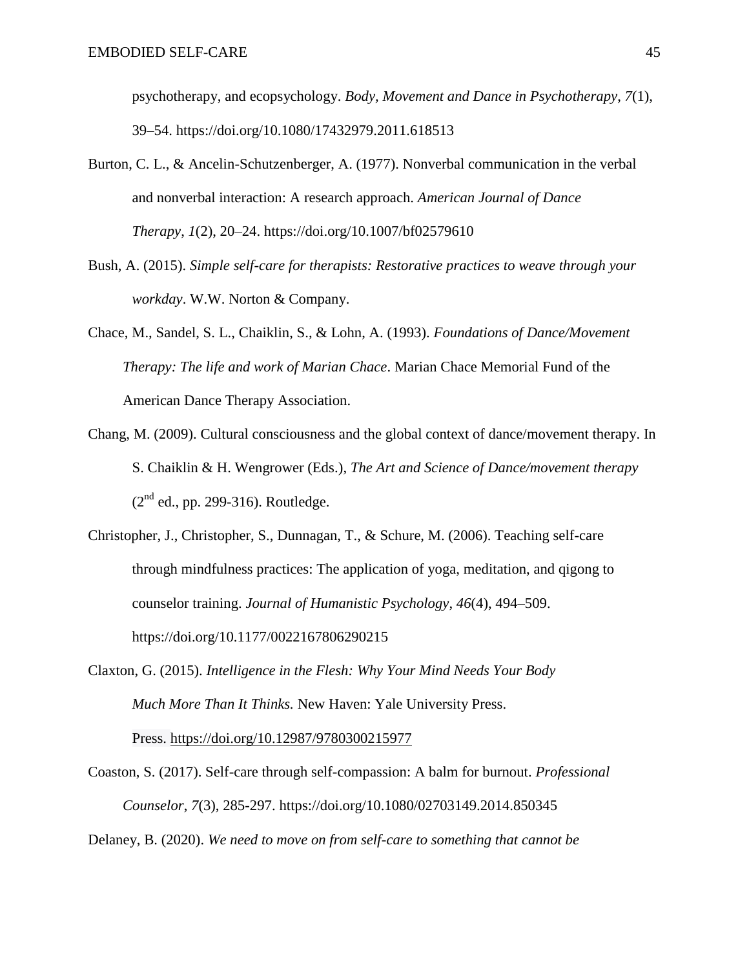psychotherapy, and ecopsychology. *Body, Movement and Dance in Psychotherapy*, *7*(1), 39–54. https://doi.org/10.1080/17432979.2011.618513

- Burton, C. L., & Ancelin-Schutzenberger, A. (1977). Nonverbal communication in the verbal and nonverbal interaction: A research approach. *American Journal of Dance Therapy*, *1*(2), 20–24. https://doi.org/10.1007/bf02579610
- Bush, A. (2015). *Simple self-care for therapists: Restorative practices to weave through your workday*. W.W. Norton & Company.
- Chace, M., Sandel, S. L., Chaiklin, S., & Lohn, A. (1993). *Foundations of Dance/Movement Therapy: The life and work of Marian Chace*. Marian Chace Memorial Fund of the American Dance Therapy Association.
- Chang, M. (2009). Cultural consciousness and the global context of dance/movement therapy. In S. Chaiklin & H. Wengrower (Eds.), *The Art and Science of Dance/movement therapy*   $(2<sup>nd</sup>$  ed., pp. 299-316). Routledge.
- Christopher, J., Christopher, S., Dunnagan, T., & Schure, M. (2006). Teaching self-care through mindfulness practices: The application of yoga, meditation, and qigong to counselor training. *Journal of Humanistic Psychology*, *46*(4), 494–509. https://doi.org/10.1177/0022167806290215
- Claxton, G. (2015). *Intelligence in the Flesh: Why Your Mind Needs Your Body Much More Than It Thinks.* New Haven: Yale University Press. Press. <https://doi.org/10.12987/9780300215977>
- Coaston, S. (2017). Self-care through self-compassion: A balm for burnout. *Professional Counselor*, *7*(3), 285-297. https://doi.org/10.1080/02703149.2014.850345

Delaney, B. (2020). *We need to move on from self-care to something that cannot be*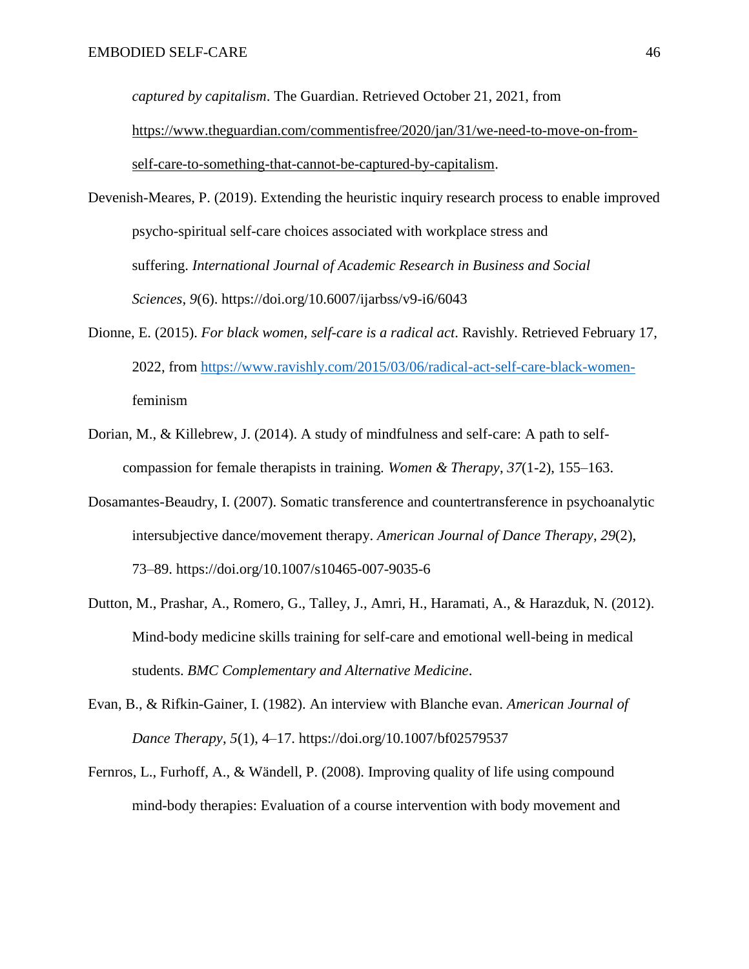*captured by capitalism*. The Guardian. Retrieved October 21, 2021, from [https://www.theguardian.com/commentisfree/2020/jan/31/we-need-to-move-on-from](https://www.theguardian.com/commentisfree/2020/jan/31/we-need-to-move-on-from-self-care-to-something-that-cannot-be-captured-by-capitalism)[self-care-to-something-that-cannot-be-captured-by-capitalism.](https://www.theguardian.com/commentisfree/2020/jan/31/we-need-to-move-on-from-self-care-to-something-that-cannot-be-captured-by-capitalism)

Devenish-Meares, P. (2019). Extending the heuristic inquiry research process to enable improved psycho-spiritual self-care choices associated with workplace stress and suffering. *International Journal of Academic Research in Business and Social Sciences*, *9*(6). https://doi.org/10.6007/ijarbss/v9-i6/6043

- Dionne, E. (2015). *For black women, self-care is a radical act*. Ravishly. Retrieved February 17, 2022, from [https://www.ravishly.com/2015/03/06/radical-act-self-care-black-women](https://www.ravishly.com/2015/03/06/radical-act-self-care-black-women-)feminism
- Dorian, M., & Killebrew, J. (2014). A study of mindfulness and self-care: A path to selfcompassion for female therapists in training. *Women & Therapy*, *37*(1-2), 155–163.
- Dosamantes-Beaudry, I. (2007). Somatic transference and countertransference in psychoanalytic intersubjective dance/movement therapy. *American Journal of Dance Therapy*, *29*(2), 73–89. https://doi.org/10.1007/s10465-007-9035-6
- Dutton, M., Prashar, A., Romero, G., Talley, J., Amri, H., Haramati, A., & Harazduk, N. (2012). Mind-body medicine skills training for self-care and emotional well-being in medical students. *BMC Complementary and Alternative Medicine*.
- Evan, B., & Rifkin-Gainer, I. (1982). An interview with Blanche evan. *American Journal of Dance Therapy*, *5*(1), 4–17. https://doi.org/10.1007/bf02579537
- Fernros, L., Furhoff, A., & Wändell, P. (2008). Improving quality of life using compound mind-body therapies: Evaluation of a course intervention with body movement and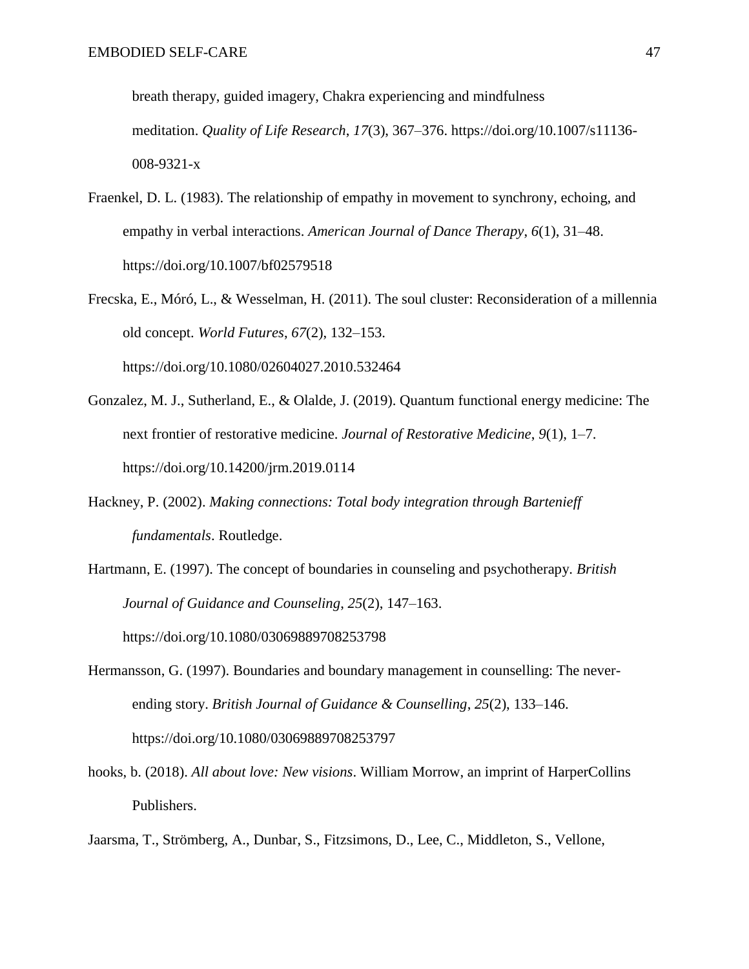breath therapy, guided imagery, Chakra experiencing and mindfulness meditation. *Quality of Life Research*, *17*(3), 367–376. https://doi.org/10.1007/s11136- 008-9321-x

- Fraenkel, D. L. (1983). The relationship of empathy in movement to synchrony, echoing, and empathy in verbal interactions. *American Journal of Dance Therapy*, *6*(1), 31–48. https://doi.org/10.1007/bf02579518
- Frecska, E., Móró, L., & Wesselman, H. (2011). The soul cluster: Reconsideration of a millennia old concept. *World Futures*, *67*(2), 132–153. https://doi.org/10.1080/02604027.2010.532464
- Gonzalez, M. J., Sutherland, E., & Olalde, J. (2019). Quantum functional energy medicine: The next frontier of restorative medicine. *Journal of Restorative Medicine*, *9*(1), 1–7. https://doi.org/10.14200/jrm.2019.0114
- Hackney, P. (2002). *Making connections: Total body integration through Bartenieff fundamentals*. Routledge.
- Hartmann, E. (1997). The concept of boundaries in counseling and psychotherapy. *British Journal of Guidance and Counseling*, *25*(2), 147–163. https://doi.org/10.1080/03069889708253798
- Hermansson, G. (1997). Boundaries and boundary management in counselling: The neverending story. *British Journal of Guidance & Counselling*, *25*(2), 133–146. https://doi.org/10.1080/03069889708253797
- hooks, b. (2018). *All about love: New visions*. William Morrow, an imprint of HarperCollins Publishers.
- Jaarsma, T., Strömberg, A., Dunbar, S., Fitzsimons, D., Lee, C., Middleton, S., Vellone,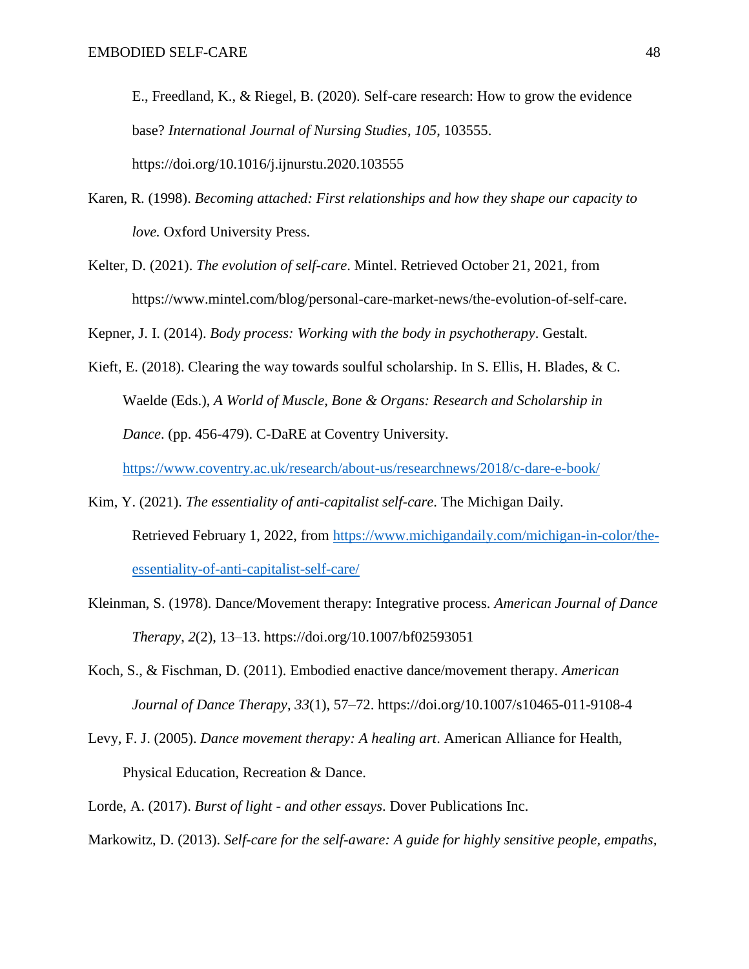E., Freedland, K., & Riegel, B. (2020). Self-care research: How to grow the evidence base? *International Journal of Nursing Studies*, *105*, 103555. https://doi.org/10.1016/j.ijnurstu.2020.103555

- Karen, R. (1998). *Becoming attached: First relationships and how they shape our capacity to love.* Oxford University Press.
- Kelter, D. (2021). *The evolution of self-care*. Mintel. Retrieved October 21, 2021, from https://www.mintel.com/blog/personal-care-market-news/the-evolution-of-self-care.

Kepner, J. I. (2014). *Body process: Working with the body in psychotherapy*. Gestalt.

Kieft, E. (2018). Clearing the way towards soulful scholarship. In S. Ellis, H. Blades, & C. Waelde (Eds.), *A World of Muscle, Bone & Organs: Research and Scholarship in Dance*. (pp. 456-479). C-DaRE at Coventry University.

<https://www.coventry.ac.uk/research/about-us/researchnews/2018/c-dare-e-book/>

- Kim, Y. (2021). *The essentiality of anti-capitalist self-care*. The Michigan Daily. Retrieved February 1, 2022, from [https://www.michigandaily.com/michigan-in-color/the](https://www.michigandaily.com/michigan-in-color/the-essentiality-of-anti-capitalist-self-care/)[essentiality-of-anti-capitalist-self-care/](https://www.michigandaily.com/michigan-in-color/the-essentiality-of-anti-capitalist-self-care/)
- Kleinman, S. (1978). Dance/Movement therapy: Integrative process. *American Journal of Dance Therapy*, *2*(2), 13–13. https://doi.org/10.1007/bf02593051
- Koch, S., & Fischman, D. (2011). Embodied enactive dance/movement therapy. *American Journal of Dance Therapy*, *33*(1), 57–72. https://doi.org/10.1007/s10465-011-9108-4
- Levy, F. J. (2005). *Dance movement therapy: A healing art*. American Alliance for Health, Physical Education, Recreation & Dance.
- Lorde, A. (2017). *Burst of light - and other essays*. Dover Publications Inc.

Markowitz, D. (2013). *Self-care for the self-aware: A guide for highly sensitive people, empaths,*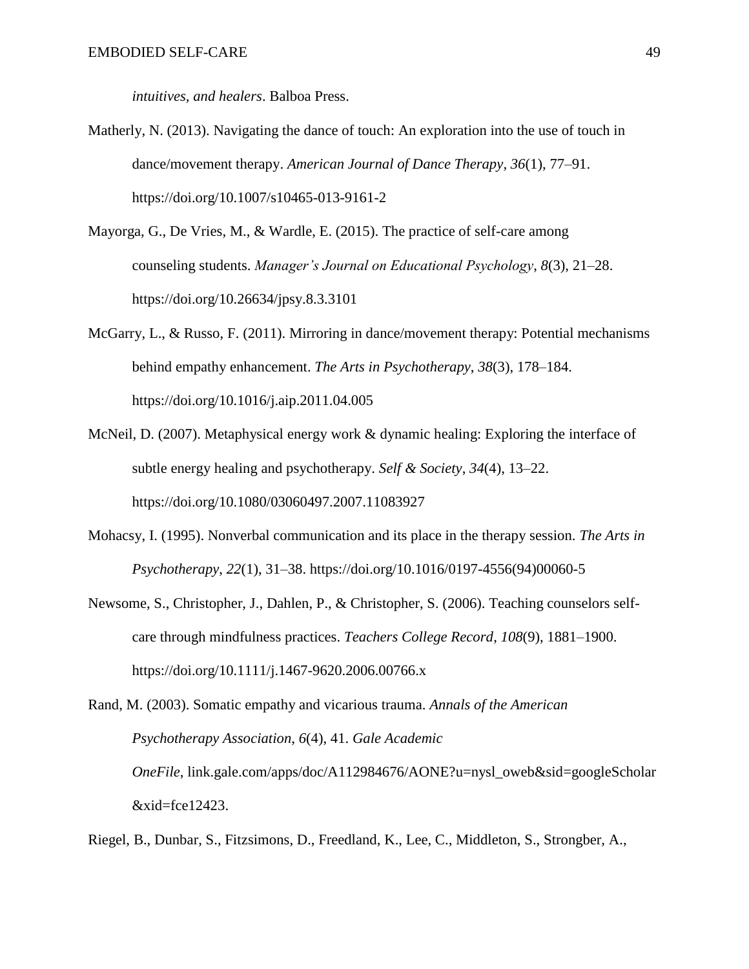*intuitives, and healers*. Balboa Press.

- Matherly, N. (2013). Navigating the dance of touch: An exploration into the use of touch in dance/movement therapy. *American Journal of Dance Therapy*, *36*(1), 77–91. https://doi.org/10.1007/s10465-013-9161-2
- Mayorga, G., De Vries, M., & Wardle, E. (2015). The practice of self-care among counseling students. *Manager's Journal on Educational Psychology*, *8*(3), 21–28. https://doi.org/10.26634/jpsy.8.3.3101
- McGarry, L., & Russo, F. (2011). Mirroring in dance/movement therapy: Potential mechanisms behind empathy enhancement. *The Arts in Psychotherapy*, *38*(3), 178–184. https://doi.org/10.1016/j.aip.2011.04.005
- McNeil, D. (2007). Metaphysical energy work & dynamic healing: Exploring the interface of subtle energy healing and psychotherapy. *Self & Society*, *34*(4), 13–22. https://doi.org/10.1080/03060497.2007.11083927
- Mohacsy, I. (1995). Nonverbal communication and its place in the therapy session. *The Arts in Psychotherapy*, *22*(1), 31–38. https://doi.org/10.1016/0197-4556(94)00060-5
- Newsome, S., Christopher, J., Dahlen, P., & Christopher, S. (2006). Teaching counselors selfcare through mindfulness practices. *Teachers College Record*, *108*(9), 1881–1900. https://doi.org/10.1111/j.1467-9620.2006.00766.x

```
Rand, M. (2003). Somatic empathy and vicarious trauma. Annals of the American
Psychotherapy Association, 6(4), 41. Gale Academic
 OneFile, link.gale.com/apps/doc/A112984676/AONE?u=nysl_oweb&sid=googleScholar
 &xid=fce12423.
```
Riegel, B., Dunbar, S., Fitzsimons, D., Freedland, K., Lee, C., Middleton, S., Strongber, A.,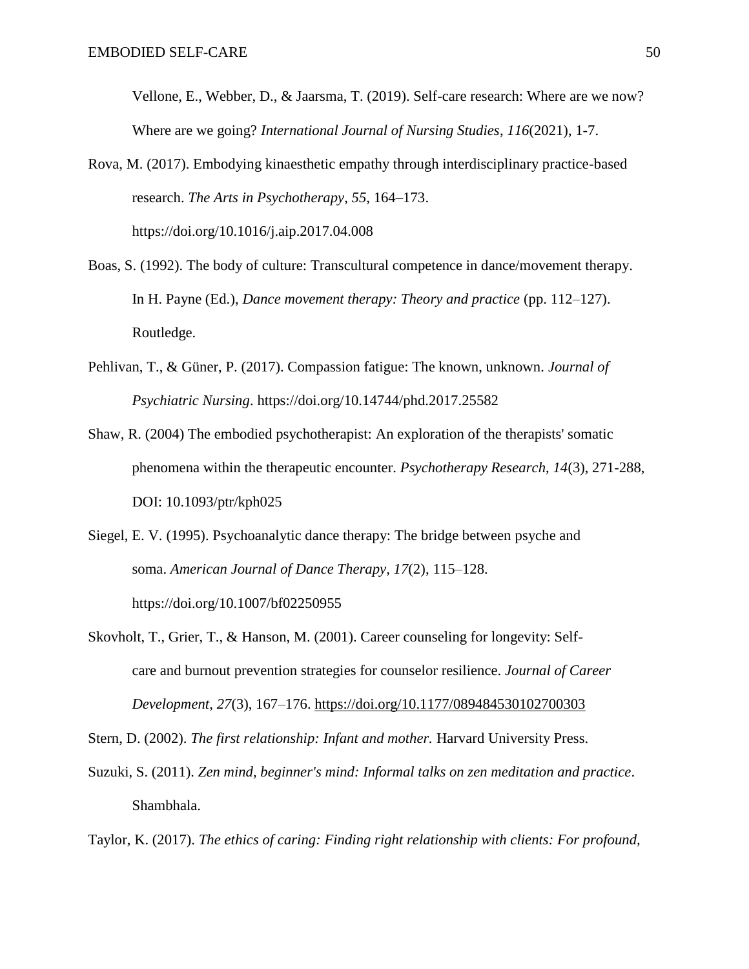Vellone, E., Webber, D., & Jaarsma, T. (2019). Self-care research: Where are we now? Where are we going? *International Journal of Nursing Studies*, *116*(2021), 1-7.

Rova, M. (2017). Embodying kinaesthetic empathy through interdisciplinary practice-based research. *The Arts in Psychotherapy*, *55*, 164–173. https://doi.org/10.1016/j.aip.2017.04.008

- Boas, S. (1992). The body of culture: Transcultural competence in dance/movement therapy. In H. Payne (Ed.), *Dance movement therapy: Theory and practice* (pp. 112–127). Routledge.
- Pehlivan, T., & Güner, P. (2017). Compassion fatigue: The known, unknown. *Journal of Psychiatric Nursing*. https://doi.org/10.14744/phd.2017.25582
- Shaw, R. (2004) The embodied psychotherapist: An exploration of the therapists' somatic phenomena within the therapeutic encounter. *Psychotherapy Research*, *14*(3), 271-288, DOI: 10.1093/ptr/kph025
- Siegel, E. V. (1995). Psychoanalytic dance therapy: The bridge between psyche and soma. *American Journal of Dance Therapy*, *17*(2), 115–128. https://doi.org/10.1007/bf02250955

Skovholt, T., Grier, T., & Hanson, M. (2001). Career counseling for longevity: Selfcare and burnout prevention strategies for counselor resilience. *Journal of Career Development*, *27*(3), 167–176.<https://doi.org/10.1177/089484530102700303>

Stern, D. (2002). *The first relationship: Infant and mother.* Harvard University Press.

Suzuki, S. (2011). *Zen mind, beginner's mind: Informal talks on zen meditation and practice*. Shambhala.

Taylor, K. (2017). *The ethics of caring: Finding right relationship with clients: For profound,*